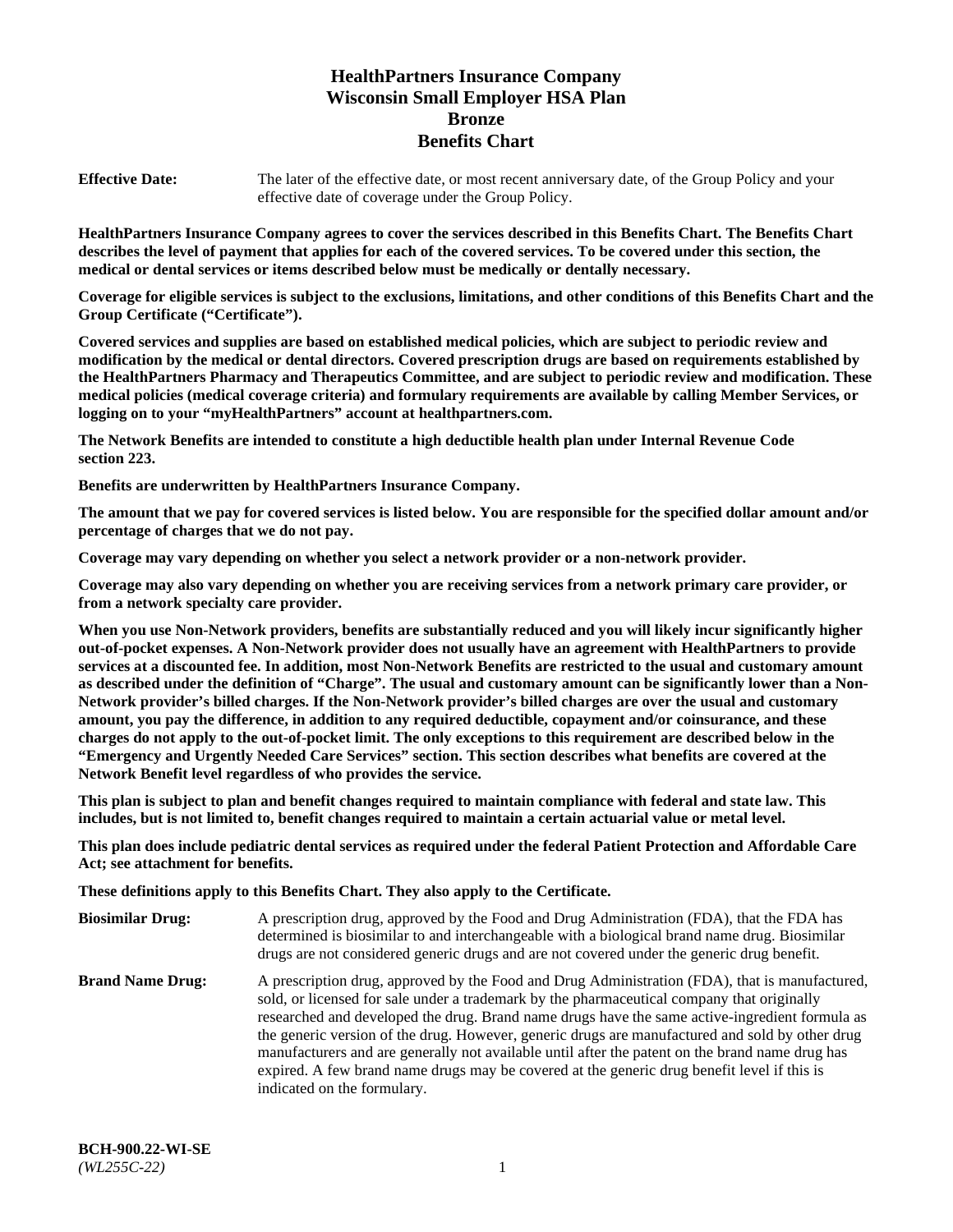# **HealthPartners Insurance Company Wisconsin Small Employer HSA Plan Bronze Benefits Chart**

**Effective Date:** The later of the effective date, or most recent anniversary date, of the Group Policy and your effective date of coverage under the Group Policy.

**HealthPartners Insurance Company agrees to cover the services described in this Benefits Chart. The Benefits Chart describes the level of payment that applies for each of the covered services. To be covered under this section, the medical or dental services or items described below must be medically or dentally necessary.**

**Coverage for eligible services is subject to the exclusions, limitations, and other conditions of this Benefits Chart and the Group Certificate ("Certificate").**

**Covered services and supplies are based on established medical policies, which are subject to periodic review and modification by the medical or dental directors. Covered prescription drugs are based on requirements established by the HealthPartners Pharmacy and Therapeutics Committee, and are subject to periodic review and modification. These medical policies (medical coverage criteria) and formulary requirements are available by calling Member Services, or logging on to your "myHealthPartners" account at [healthpartners.com.](https://www.healthpartners.com/hp/index.html)** 

**The Network Benefits are intended to constitute a high deductible health plan under Internal Revenue Code section 223.**

**Benefits are underwritten by HealthPartners Insurance Company.**

**The amount that we pay for covered services is listed below. You are responsible for the specified dollar amount and/or percentage of charges that we do not pay.**

**Coverage may vary depending on whether you select a network provider or a non-network provider.**

**Coverage may also vary depending on whether you are receiving services from a network primary care provider, or from a network specialty care provider.**

**When you use Non-Network providers, benefits are substantially reduced and you will likely incur significantly higher out-of-pocket expenses. A Non-Network provider does not usually have an agreement with HealthPartners to provide services at a discounted fee. In addition, most Non-Network Benefits are restricted to the usual and customary amount as described under the definition of "Charge". The usual and customary amount can be significantly lower than a Non-Network provider's billed charges. If the Non-Network provider's billed charges are over the usual and customary amount, you pay the difference, in addition to any required deductible, copayment and/or coinsurance, and these charges do not apply to the out-of-pocket limit. The only exceptions to this requirement are described below in the "Emergency and Urgently Needed Care Services" section. This section describes what benefits are covered at the Network Benefit level regardless of who provides the service.**

**This plan is subject to plan and benefit changes required to maintain compliance with federal and state law. This includes, but is not limited to, benefit changes required to maintain a certain actuarial value or metal level.**

**This plan does include pediatric dental services as required under the federal Patient Protection and Affordable Care Act; see attachment for benefits.**

**These definitions apply to this Benefits Chart. They also apply to the Certificate.**

| <b>Biosimilar Drug:</b> | A prescription drug, approved by the Food and Drug Administration (FDA), that the FDA has<br>determined is biosimilar to and interchangeable with a biological brand name drug. Biosimilar<br>drugs are not considered generic drugs and are not covered under the generic drug benefit.                                                                                                                                                                                                                                                                                                                                           |
|-------------------------|------------------------------------------------------------------------------------------------------------------------------------------------------------------------------------------------------------------------------------------------------------------------------------------------------------------------------------------------------------------------------------------------------------------------------------------------------------------------------------------------------------------------------------------------------------------------------------------------------------------------------------|
| <b>Brand Name Drug:</b> | A prescription drug, approved by the Food and Drug Administration (FDA), that is manufactured,<br>sold, or licensed for sale under a trademark by the pharmaceutical company that originally<br>researched and developed the drug. Brand name drugs have the same active-ingredient formula as<br>the generic version of the drug. However, generic drugs are manufactured and sold by other drug<br>manufacturers and are generally not available until after the patent on the brand name drug has<br>expired. A few brand name drugs may be covered at the generic drug benefit level if this is<br>indicated on the formulary. |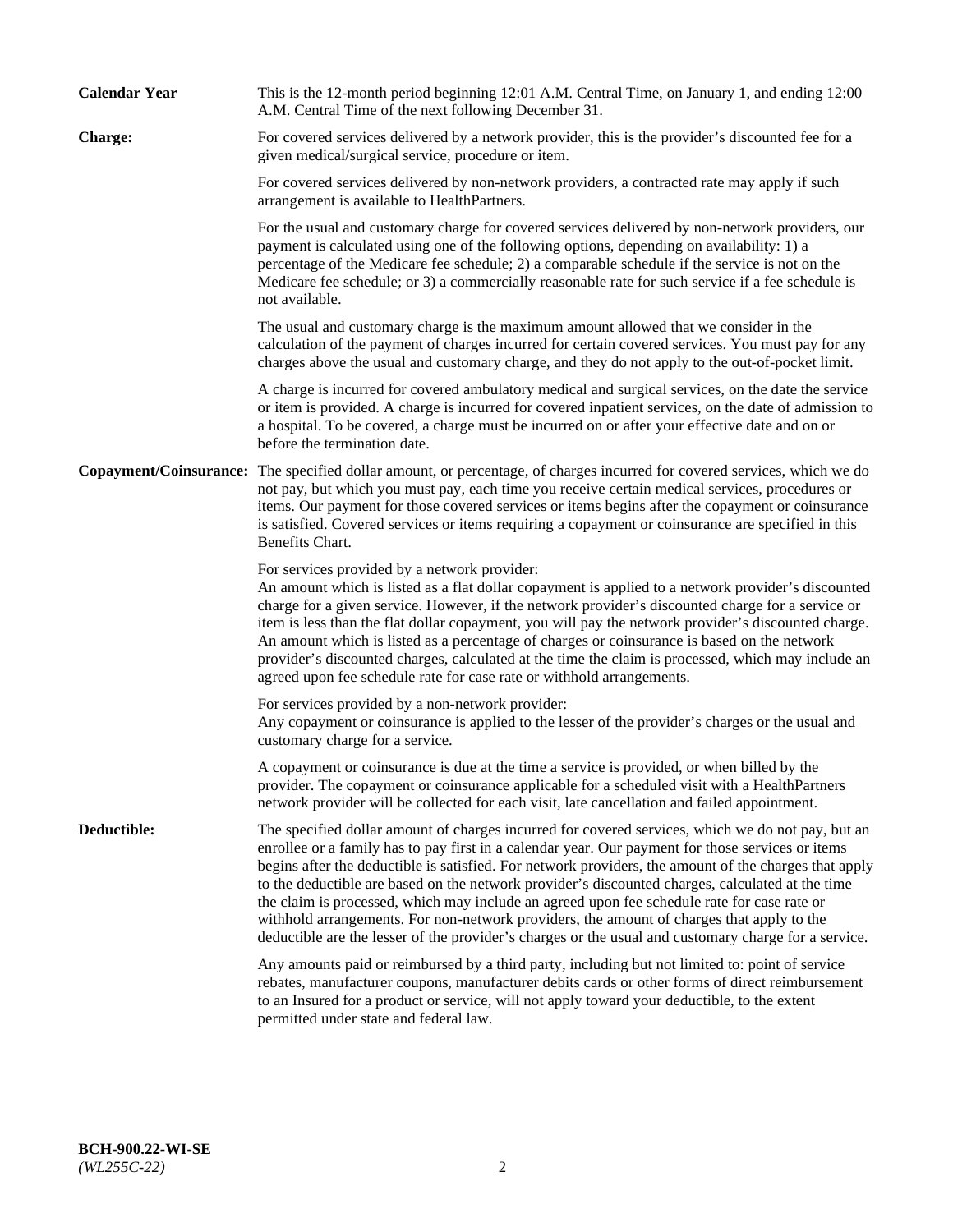| <b>Calendar Year</b> | This is the 12-month period beginning 12:01 A.M. Central Time, on January 1, and ending 12:00<br>A.M. Central Time of the next following December 31.                                                                                                                                                                                                                                                                                                                                                                                                                                                                                                                                                                   |
|----------------------|-------------------------------------------------------------------------------------------------------------------------------------------------------------------------------------------------------------------------------------------------------------------------------------------------------------------------------------------------------------------------------------------------------------------------------------------------------------------------------------------------------------------------------------------------------------------------------------------------------------------------------------------------------------------------------------------------------------------------|
| Charge:              | For covered services delivered by a network provider, this is the provider's discounted fee for a<br>given medical/surgical service, procedure or item.                                                                                                                                                                                                                                                                                                                                                                                                                                                                                                                                                                 |
|                      | For covered services delivered by non-network providers, a contracted rate may apply if such<br>arrangement is available to HealthPartners.                                                                                                                                                                                                                                                                                                                                                                                                                                                                                                                                                                             |
|                      | For the usual and customary charge for covered services delivered by non-network providers, our<br>payment is calculated using one of the following options, depending on availability: 1) a<br>percentage of the Medicare fee schedule; 2) a comparable schedule if the service is not on the<br>Medicare fee schedule; or 3) a commercially reasonable rate for such service if a fee schedule is<br>not available.                                                                                                                                                                                                                                                                                                   |
|                      | The usual and customary charge is the maximum amount allowed that we consider in the<br>calculation of the payment of charges incurred for certain covered services. You must pay for any<br>charges above the usual and customary charge, and they do not apply to the out-of-pocket limit.                                                                                                                                                                                                                                                                                                                                                                                                                            |
|                      | A charge is incurred for covered ambulatory medical and surgical services, on the date the service<br>or item is provided. A charge is incurred for covered inpatient services, on the date of admission to<br>a hospital. To be covered, a charge must be incurred on or after your effective date and on or<br>before the termination date.                                                                                                                                                                                                                                                                                                                                                                           |
|                      | Copayment/Coinsurance: The specified dollar amount, or percentage, of charges incurred for covered services, which we do<br>not pay, but which you must pay, each time you receive certain medical services, procedures or<br>items. Our payment for those covered services or items begins after the copayment or coinsurance<br>is satisfied. Covered services or items requiring a copayment or coinsurance are specified in this<br>Benefits Chart.                                                                                                                                                                                                                                                                 |
|                      | For services provided by a network provider:<br>An amount which is listed as a flat dollar copayment is applied to a network provider's discounted<br>charge for a given service. However, if the network provider's discounted charge for a service or<br>item is less than the flat dollar copayment, you will pay the network provider's discounted charge.<br>An amount which is listed as a percentage of charges or coinsurance is based on the network<br>provider's discounted charges, calculated at the time the claim is processed, which may include an<br>agreed upon fee schedule rate for case rate or withhold arrangements.                                                                            |
|                      | For services provided by a non-network provider:<br>Any copayment or coinsurance is applied to the lesser of the provider's charges or the usual and<br>customary charge for a service.                                                                                                                                                                                                                                                                                                                                                                                                                                                                                                                                 |
|                      | A copayment or coinsurance is due at the time a service is provided, or when billed by the<br>provider. The copayment or coinsurance applicable for a scheduled visit with a HealthPartners<br>network provider will be collected for each visit, late cancellation and failed appointment.                                                                                                                                                                                                                                                                                                                                                                                                                             |
| Deductible:          | The specified dollar amount of charges incurred for covered services, which we do not pay, but an<br>enrollee or a family has to pay first in a calendar year. Our payment for those services or items<br>begins after the deductible is satisfied. For network providers, the amount of the charges that apply<br>to the deductible are based on the network provider's discounted charges, calculated at the time<br>the claim is processed, which may include an agreed upon fee schedule rate for case rate or<br>withhold arrangements. For non-network providers, the amount of charges that apply to the<br>deductible are the lesser of the provider's charges or the usual and customary charge for a service. |
|                      | Any amounts paid or reimbursed by a third party, including but not limited to: point of service<br>rebates, manufacturer coupons, manufacturer debits cards or other forms of direct reimbursement<br>to an Insured for a product or service, will not apply toward your deductible, to the extent<br>permitted under state and federal law.                                                                                                                                                                                                                                                                                                                                                                            |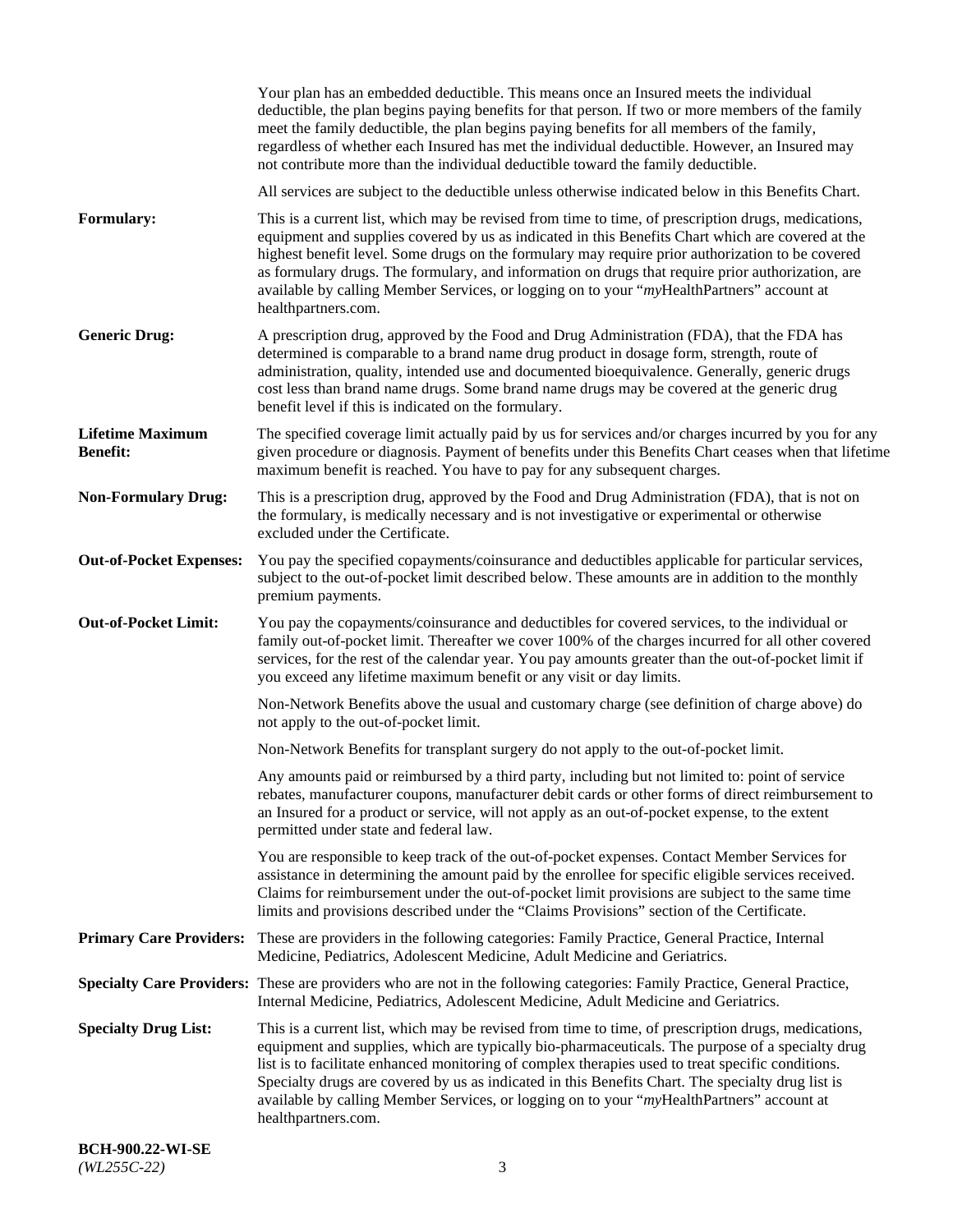|                                            | Your plan has an embedded deductible. This means once an Insured meets the individual<br>deductible, the plan begins paying benefits for that person. If two or more members of the family<br>meet the family deductible, the plan begins paying benefits for all members of the family,<br>regardless of whether each Insured has met the individual deductible. However, an Insured may<br>not contribute more than the individual deductible toward the family deductible.                                                         |
|--------------------------------------------|---------------------------------------------------------------------------------------------------------------------------------------------------------------------------------------------------------------------------------------------------------------------------------------------------------------------------------------------------------------------------------------------------------------------------------------------------------------------------------------------------------------------------------------|
|                                            | All services are subject to the deductible unless otherwise indicated below in this Benefits Chart.                                                                                                                                                                                                                                                                                                                                                                                                                                   |
| Formulary:                                 | This is a current list, which may be revised from time to time, of prescription drugs, medications,<br>equipment and supplies covered by us as indicated in this Benefits Chart which are covered at the<br>highest benefit level. Some drugs on the formulary may require prior authorization to be covered<br>as formulary drugs. The formulary, and information on drugs that require prior authorization, are<br>available by calling Member Services, or logging on to your "myHealthPartners" account at<br>healthpartners.com. |
| <b>Generic Drug:</b>                       | A prescription drug, approved by the Food and Drug Administration (FDA), that the FDA has<br>determined is comparable to a brand name drug product in dosage form, strength, route of<br>administration, quality, intended use and documented bioequivalence. Generally, generic drugs<br>cost less than brand name drugs. Some brand name drugs may be covered at the generic drug<br>benefit level if this is indicated on the formulary.                                                                                           |
| <b>Lifetime Maximum</b><br><b>Benefit:</b> | The specified coverage limit actually paid by us for services and/or charges incurred by you for any<br>given procedure or diagnosis. Payment of benefits under this Benefits Chart ceases when that lifetime<br>maximum benefit is reached. You have to pay for any subsequent charges.                                                                                                                                                                                                                                              |
| <b>Non-Formulary Drug:</b>                 | This is a prescription drug, approved by the Food and Drug Administration (FDA), that is not on<br>the formulary, is medically necessary and is not investigative or experimental or otherwise<br>excluded under the Certificate.                                                                                                                                                                                                                                                                                                     |
| <b>Out-of-Pocket Expenses:</b>             | You pay the specified copayments/coinsurance and deductibles applicable for particular services,<br>subject to the out-of-pocket limit described below. These amounts are in addition to the monthly<br>premium payments.                                                                                                                                                                                                                                                                                                             |
| <b>Out-of-Pocket Limit:</b>                | You pay the copayments/coinsurance and deductibles for covered services, to the individual or<br>family out-of-pocket limit. Thereafter we cover 100% of the charges incurred for all other covered<br>services, for the rest of the calendar year. You pay amounts greater than the out-of-pocket limit if<br>you exceed any lifetime maximum benefit or any visit or day limits.                                                                                                                                                    |
|                                            | Non-Network Benefits above the usual and customary charge (see definition of charge above) do<br>not apply to the out-of-pocket limit.                                                                                                                                                                                                                                                                                                                                                                                                |
|                                            | Non-Network Benefits for transplant surgery do not apply to the out-of-pocket limit.                                                                                                                                                                                                                                                                                                                                                                                                                                                  |
|                                            | Any amounts paid or reimbursed by a third party, including but not limited to: point of service<br>rebates, manufacturer coupons, manufacturer debit cards or other forms of direct reimbursement to<br>an Insured for a product or service, will not apply as an out-of-pocket expense, to the extent<br>permitted under state and federal law.                                                                                                                                                                                      |
|                                            | You are responsible to keep track of the out-of-pocket expenses. Contact Member Services for<br>assistance in determining the amount paid by the enrollee for specific eligible services received.<br>Claims for reimbursement under the out-of-pocket limit provisions are subject to the same time<br>limits and provisions described under the "Claims Provisions" section of the Certificate.                                                                                                                                     |
| <b>Primary Care Providers:</b>             | These are providers in the following categories: Family Practice, General Practice, Internal<br>Medicine, Pediatrics, Adolescent Medicine, Adult Medicine and Geriatrics.                                                                                                                                                                                                                                                                                                                                                             |
|                                            | Specialty Care Providers: These are providers who are not in the following categories: Family Practice, General Practice,<br>Internal Medicine, Pediatrics, Adolescent Medicine, Adult Medicine and Geriatrics.                                                                                                                                                                                                                                                                                                                       |
| <b>Specialty Drug List:</b>                | This is a current list, which may be revised from time to time, of prescription drugs, medications,<br>equipment and supplies, which are typically bio-pharmaceuticals. The purpose of a specialty drug<br>list is to facilitate enhanced monitoring of complex therapies used to treat specific conditions.<br>Specialty drugs are covered by us as indicated in this Benefits Chart. The specialty drug list is<br>available by calling Member Services, or logging on to your "myHealthPartners" account at<br>healthpartners.com. |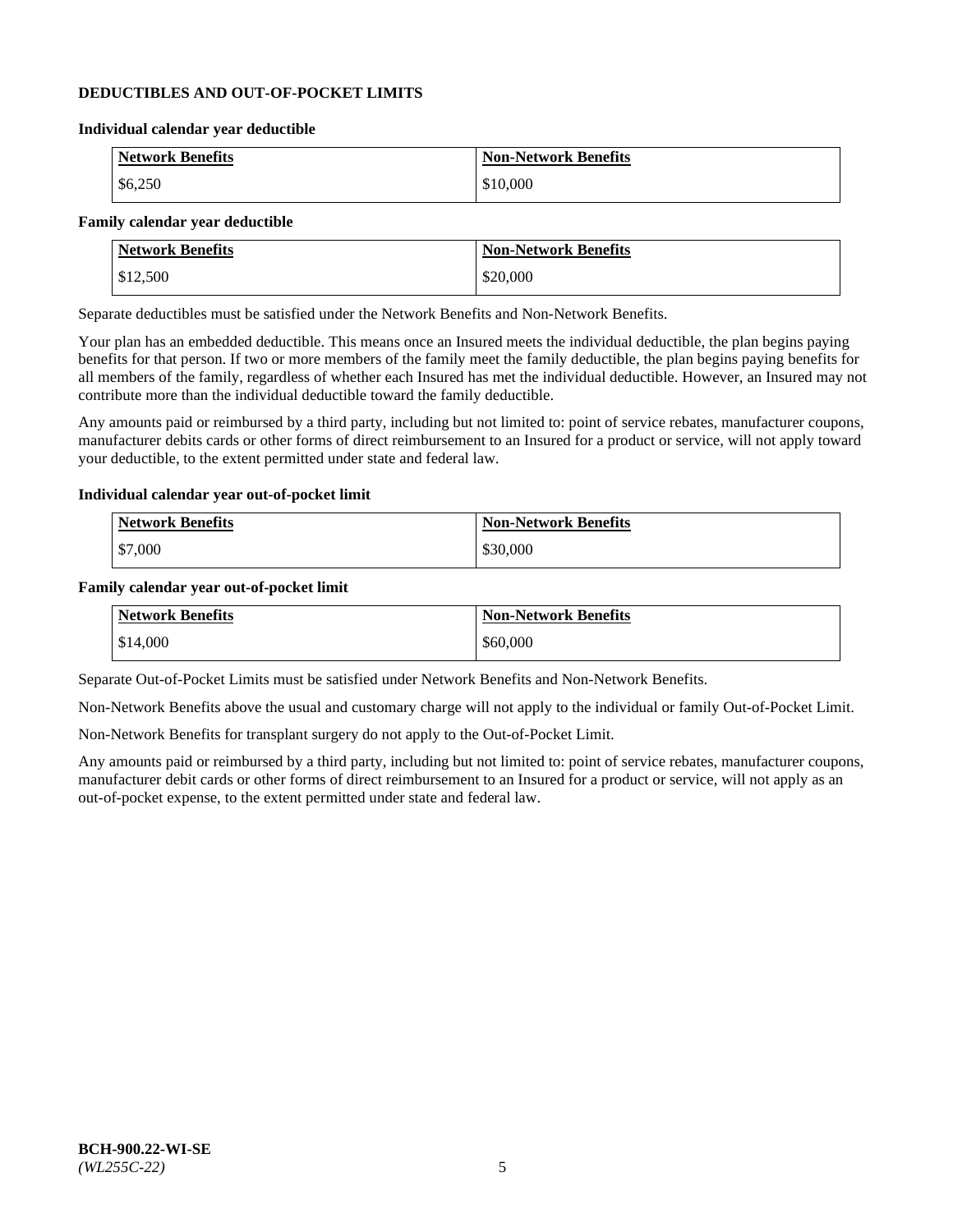## **DEDUCTIBLES AND OUT-OF-POCKET LIMITS**

#### **Individual calendar year deductible**

| <b>Network Benefits</b> | <b>Non-Network Benefits</b> |
|-------------------------|-----------------------------|
| \$6,250                 | \$10,000                    |

## **Family calendar year deductible**

| <b>Network Benefits</b> | <b>Non-Network Benefits</b> |
|-------------------------|-----------------------------|
| \$12,500                | \$20,000                    |

Separate deductibles must be satisfied under the Network Benefits and Non-Network Benefits.

Your plan has an embedded deductible. This means once an Insured meets the individual deductible, the plan begins paying benefits for that person. If two or more members of the family meet the family deductible, the plan begins paying benefits for all members of the family, regardless of whether each Insured has met the individual deductible. However, an Insured may not contribute more than the individual deductible toward the family deductible.

Any amounts paid or reimbursed by a third party, including but not limited to: point of service rebates, manufacturer coupons, manufacturer debits cards or other forms of direct reimbursement to an Insured for a product or service, will not apply toward your deductible, to the extent permitted under state and federal law.

#### **Individual calendar year out-of-pocket limit**

| Network Benefits | <b>Non-Network Benefits</b> |
|------------------|-----------------------------|
| \$7,000          | \$30,000                    |

#### **Family calendar year out-of-pocket limit**

| <b>Network Benefits</b> | <b>Non-Network Benefits</b> |
|-------------------------|-----------------------------|
| \$14,000                | \$60,000                    |

Separate Out-of-Pocket Limits must be satisfied under Network Benefits and Non-Network Benefits.

Non-Network Benefits above the usual and customary charge will not apply to the individual or family Out-of-Pocket Limit.

Non-Network Benefits for transplant surgery do not apply to the Out-of-Pocket Limit.

Any amounts paid or reimbursed by a third party, including but not limited to: point of service rebates, manufacturer coupons, manufacturer debit cards or other forms of direct reimbursement to an Insured for a product or service, will not apply as an out-of-pocket expense, to the extent permitted under state and federal law.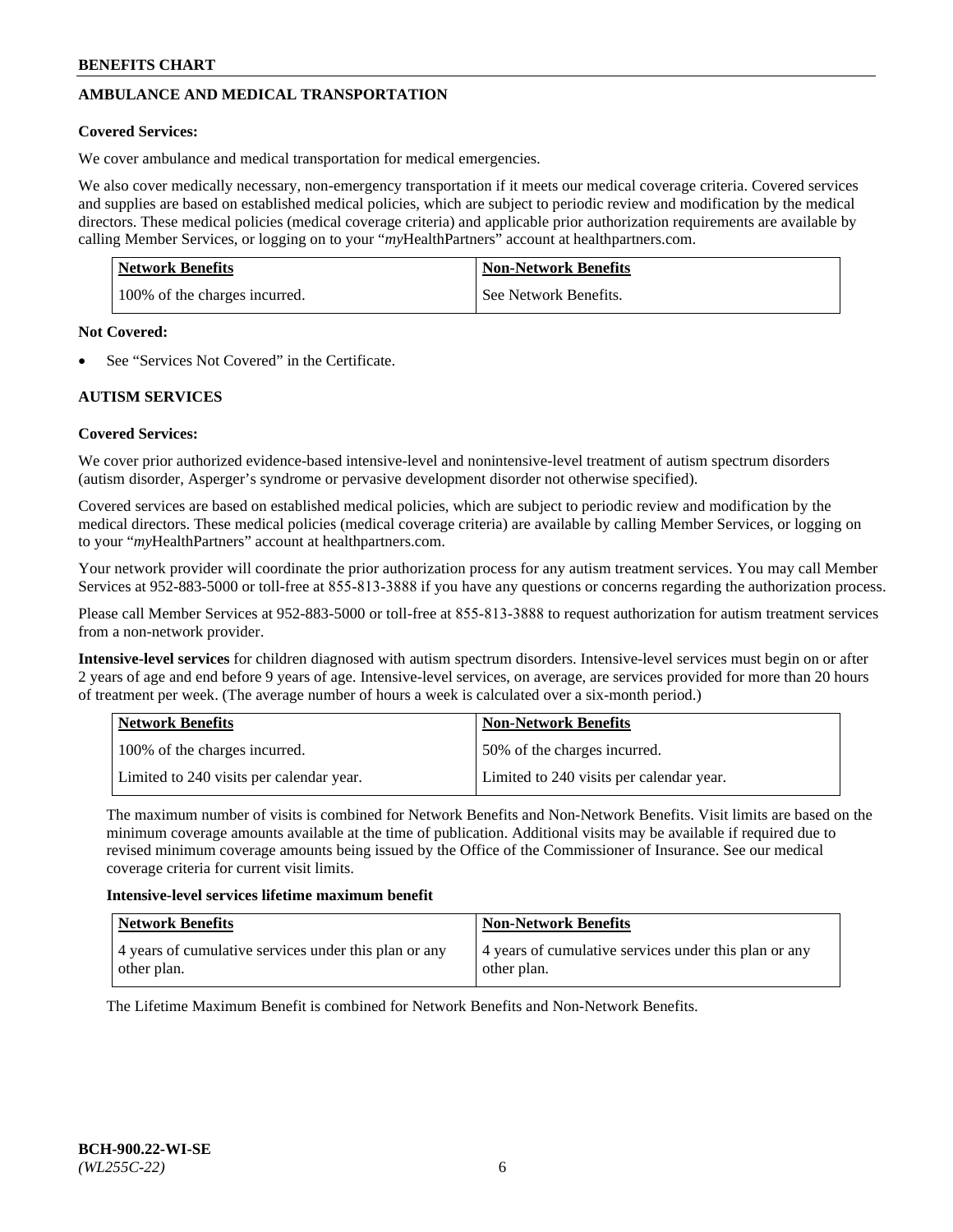# **AMBULANCE AND MEDICAL TRANSPORTATION**

## **Covered Services:**

We cover ambulance and medical transportation for medical emergencies.

We also cover medically necessary, non-emergency transportation if it meets our medical coverage criteria. Covered services and supplies are based on established medical policies, which are subject to periodic review and modification by the medical directors. These medical policies (medical coverage criteria) and applicable prior authorization requirements are available by calling Member Services, or logging on to your "*my*HealthPartners" account a[t healthpartners.com.](https://www.healthpartners.com/hp/index.html)

| Network Benefits              | <b>Non-Network Benefits</b> |
|-------------------------------|-----------------------------|
| 100% of the charges incurred. | See Network Benefits.       |

#### **Not Covered:**

See "Services Not Covered" in the Certificate.

# **AUTISM SERVICES**

## **Covered Services:**

We cover prior authorized evidence-based intensive-level and nonintensive-level treatment of autism spectrum disorders (autism disorder, Asperger's syndrome or pervasive development disorder not otherwise specified).

Covered services are based on established medical policies, which are subject to periodic review and modification by the medical directors. These medical policies (medical coverage criteria) are available by calling Member Services, or logging on to your "*my*HealthPartners" account at [healthpartners.com.](https://www.healthpartners.com/hp/index.html)

Your network provider will coordinate the prior authorization process for any autism treatment services. You may call Member Services at 952-883-5000 or toll-free at 855-813-3888 if you have any questions or concerns regarding the authorization process.

Please call Member Services at 952-883-5000 or toll-free at 855-813-3888 to request authorization for autism treatment services from a non-network provider.

**Intensive-level services** for children diagnosed with autism spectrum disorders. Intensive-level services must begin on or after 2 years of age and end before 9 years of age. Intensive-level services, on average, are services provided for more than 20 hours of treatment per week. (The average number of hours a week is calculated over a six-month period.)

| Network Benefits                         | <b>Non-Network Benefits</b>              |
|------------------------------------------|------------------------------------------|
| 100% of the charges incurred.            | 50% of the charges incurred.             |
| Limited to 240 visits per calendar year. | Limited to 240 visits per calendar year. |

The maximum number of visits is combined for Network Benefits and Non-Network Benefits. Visit limits are based on the minimum coverage amounts available at the time of publication. Additional visits may be available if required due to revised minimum coverage amounts being issued by the Office of the Commissioner of Insurance. See our medical coverage criteria for current visit limits.

#### **Intensive-level services lifetime maximum benefit**

| Network Benefits                                                     | <b>Non-Network Benefits</b>                                          |
|----------------------------------------------------------------------|----------------------------------------------------------------------|
| 4 years of cumulative services under this plan or any<br>other plan. | 4 years of cumulative services under this plan or any<br>other plan. |

The Lifetime Maximum Benefit is combined for Network Benefits and Non-Network Benefits.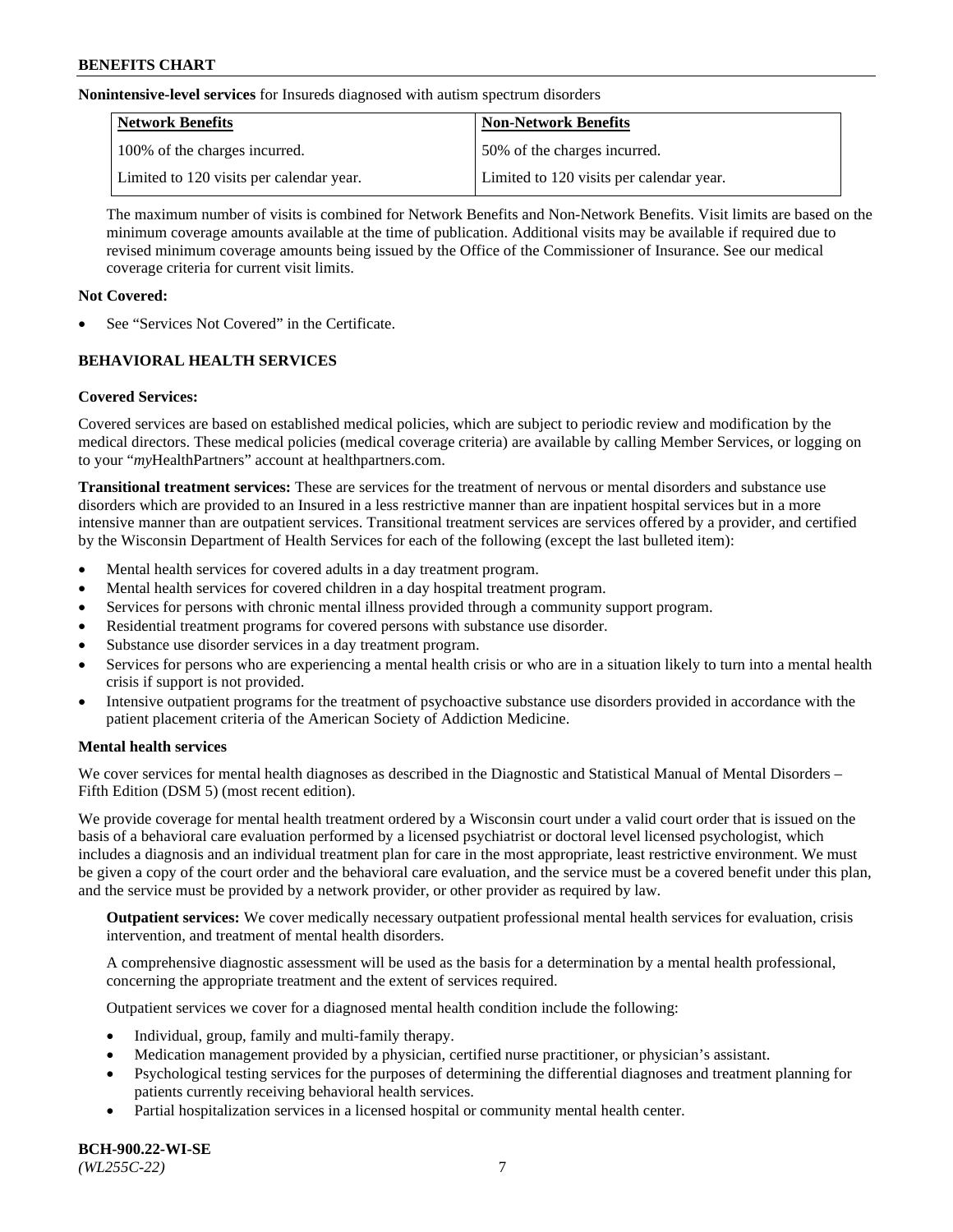**Nonintensive-level services** for Insureds diagnosed with autism spectrum disorders

| Network Benefits                         | <b>Non-Network Benefits</b>              |
|------------------------------------------|------------------------------------------|
| 100% of the charges incurred.            | 50% of the charges incurred.             |
| Limited to 120 visits per calendar year. | Limited to 120 visits per calendar year. |

The maximum number of visits is combined for Network Benefits and Non-Network Benefits. Visit limits are based on the minimum coverage amounts available at the time of publication. Additional visits may be available if required due to revised minimum coverage amounts being issued by the Office of the Commissioner of Insurance. See our medical coverage criteria for current visit limits.

## **Not Covered:**

See "Services Not Covered" in the Certificate.

# **BEHAVIORAL HEALTH SERVICES**

## **Covered Services:**

Covered services are based on established medical policies, which are subject to periodic review and modification by the medical directors. These medical policies (medical coverage criteria) are available by calling Member Services, or logging on to your "*my*HealthPartners" account at [healthpartners.com.](https://www.healthpartners.com/hp/index.html)

**Transitional treatment services:** These are services for the treatment of nervous or mental disorders and substance use disorders which are provided to an Insured in a less restrictive manner than are inpatient hospital services but in a more intensive manner than are outpatient services. Transitional treatment services are services offered by a provider, and certified by the Wisconsin Department of Health Services for each of the following (except the last bulleted item):

- Mental health services for covered adults in a day treatment program.
- Mental health services for covered children in a day hospital treatment program.
- Services for persons with chronic mental illness provided through a community support program.
- Residential treatment programs for covered persons with substance use disorder.
- Substance use disorder services in a day treatment program.
- Services for persons who are experiencing a mental health crisis or who are in a situation likely to turn into a mental health crisis if support is not provided.
- Intensive outpatient programs for the treatment of psychoactive substance use disorders provided in accordance with the patient placement criteria of the American Society of Addiction Medicine.

## **Mental health services**

We cover services for mental health diagnoses as described in the Diagnostic and Statistical Manual of Mental Disorders – Fifth Edition (DSM 5) (most recent edition).

We provide coverage for mental health treatment ordered by a Wisconsin court under a valid court order that is issued on the basis of a behavioral care evaluation performed by a licensed psychiatrist or doctoral level licensed psychologist, which includes a diagnosis and an individual treatment plan for care in the most appropriate, least restrictive environment. We must be given a copy of the court order and the behavioral care evaluation, and the service must be a covered benefit under this plan, and the service must be provided by a network provider, or other provider as required by law.

**Outpatient services:** We cover medically necessary outpatient professional mental health services for evaluation, crisis intervention, and treatment of mental health disorders.

A comprehensive diagnostic assessment will be used as the basis for a determination by a mental health professional, concerning the appropriate treatment and the extent of services required.

Outpatient services we cover for a diagnosed mental health condition include the following:

- Individual, group, family and multi-family therapy.
- Medication management provided by a physician, certified nurse practitioner, or physician's assistant.
- Psychological testing services for the purposes of determining the differential diagnoses and treatment planning for patients currently receiving behavioral health services.
- Partial hospitalization services in a licensed hospital or community mental health center.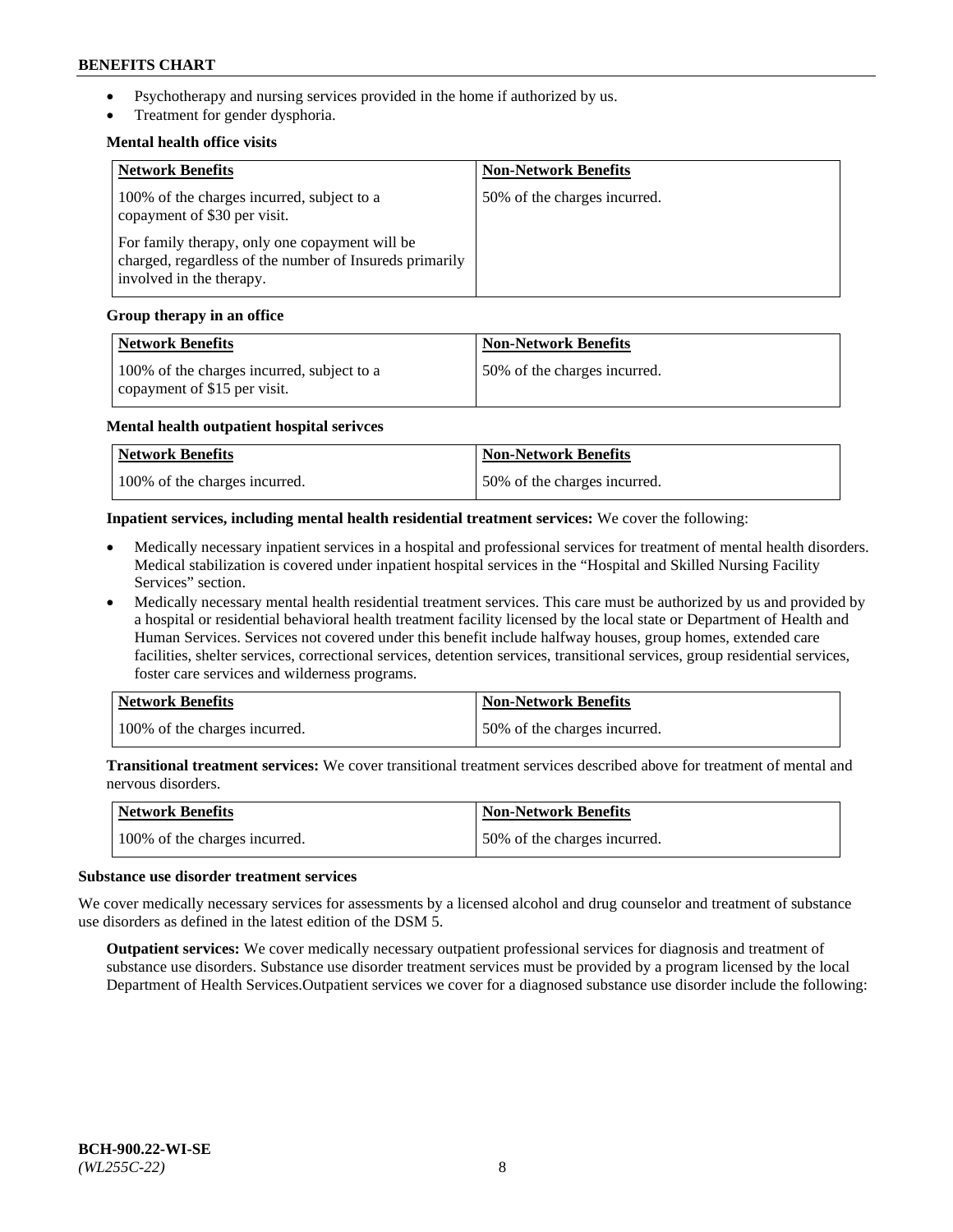- Psychotherapy and nursing services provided in the home if authorized by us.
- Treatment for gender dysphoria.

## **Mental health office visits**

| <b>Network Benefits</b>                                                                                                               | <b>Non-Network Benefits</b>  |
|---------------------------------------------------------------------------------------------------------------------------------------|------------------------------|
| 100% of the charges incurred, subject to a<br>copayment of \$30 per visit.                                                            | 50% of the charges incurred. |
| For family therapy, only one copayment will be<br>charged, regardless of the number of Insureds primarily<br>involved in the therapy. |                              |

### **Group therapy in an office**

| <b>Network Benefits</b>                                                    | <b>Non-Network Benefits</b>  |
|----------------------------------------------------------------------------|------------------------------|
| 100% of the charges incurred, subject to a<br>copayment of \$15 per visit. | 50% of the charges incurred. |

#### **Mental health outpatient hospital serivces**

| Network Benefits              | <b>Non-Network Benefits</b>  |
|-------------------------------|------------------------------|
| 100% of the charges incurred. | 50% of the charges incurred. |

### **Inpatient services, including mental health residential treatment services:** We cover the following:

- Medically necessary inpatient services in a hospital and professional services for treatment of mental health disorders. Medical stabilization is covered under inpatient hospital services in the "Hospital and Skilled Nursing Facility Services" section.
- Medically necessary mental health residential treatment services. This care must be authorized by us and provided by a hospital or residential behavioral health treatment facility licensed by the local state or Department of Health and Human Services. Services not covered under this benefit include halfway houses, group homes, extended care facilities, shelter services, correctional services, detention services, transitional services, group residential services, foster care services and wilderness programs.

| Network Benefits              | <b>Non-Network Benefits</b>  |
|-------------------------------|------------------------------|
| 100% of the charges incurred. | 50% of the charges incurred. |

**Transitional treatment services:** We cover transitional treatment services described above for treatment of mental and nervous disorders.

| Network Benefits              | Non-Network Benefits         |
|-------------------------------|------------------------------|
| 100% of the charges incurred. | 50% of the charges incurred. |

#### **Substance use disorder treatment services**

We cover medically necessary services for assessments by a licensed alcohol and drug counselor and treatment of substance use disorders as defined in the latest edition of the DSM 5.

**Outpatient services:** We cover medically necessary outpatient professional services for diagnosis and treatment of substance use disorders. Substance use disorder treatment services must be provided by a program licensed by the local Department of Health Services.Outpatient services we cover for a diagnosed substance use disorder include the following: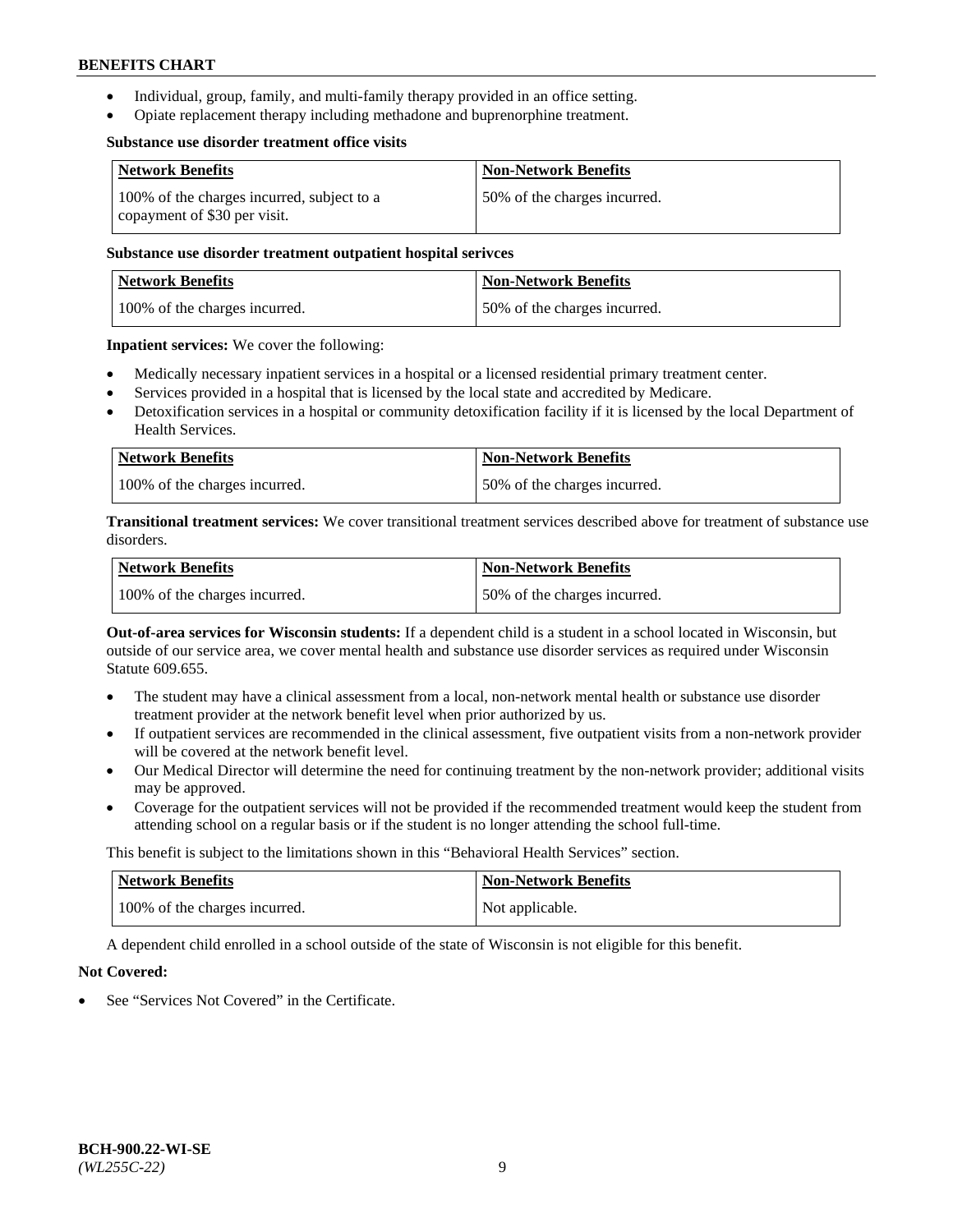- Individual, group, family, and multi-family therapy provided in an office setting.
- Opiate replacement therapy including methadone and buprenorphine treatment.

#### **Substance use disorder treatment office visits**

| <b>Network Benefits</b>                                                    | <b>Non-Network Benefits</b>  |
|----------------------------------------------------------------------------|------------------------------|
| 100% of the charges incurred, subject to a<br>copayment of \$30 per visit. | 50% of the charges incurred. |

### **Substance use disorder treatment outpatient hospital serivces**

| Network Benefits              | <b>Non-Network Benefits</b>  |
|-------------------------------|------------------------------|
| 100% of the charges incurred. | 50% of the charges incurred. |

**Inpatient services:** We cover the following:

- Medically necessary inpatient services in a hospital or a licensed residential primary treatment center.
- Services provided in a hospital that is licensed by the local state and accredited by Medicare.
- Detoxification services in a hospital or community detoxification facility if it is licensed by the local Department of Health Services.

| <b>Network Benefits</b>       | <b>Non-Network Benefits</b>  |
|-------------------------------|------------------------------|
| 100% of the charges incurred. | 50% of the charges incurred. |

**Transitional treatment services:** We cover transitional treatment services described above for treatment of substance use disorders.

| Network Benefits              | <b>Non-Network Benefits</b>  |
|-------------------------------|------------------------------|
| 100% of the charges incurred. | 50% of the charges incurred. |

**Out-of-area services for Wisconsin students:** If a dependent child is a student in a school located in Wisconsin, but outside of our service area, we cover mental health and substance use disorder services as required under Wisconsin Statute 609.655.

- The student may have a clinical assessment from a local, non-network mental health or substance use disorder treatment provider at the network benefit level when prior authorized by us.
- If outpatient services are recommended in the clinical assessment, five outpatient visits from a non-network provider will be covered at the network benefit level.
- Our Medical Director will determine the need for continuing treatment by the non-network provider; additional visits may be approved.
- Coverage for the outpatient services will not be provided if the recommended treatment would keep the student from attending school on a regular basis or if the student is no longer attending the school full-time.

This benefit is subject to the limitations shown in this "Behavioral Health Services" section.

| <b>Network Benefits</b>       | <b>Non-Network Benefits</b> |
|-------------------------------|-----------------------------|
| 100% of the charges incurred. | Not applicable.             |

A dependent child enrolled in a school outside of the state of Wisconsin is not eligible for this benefit.

## **Not Covered:**

See "Services Not Covered" in the Certificate.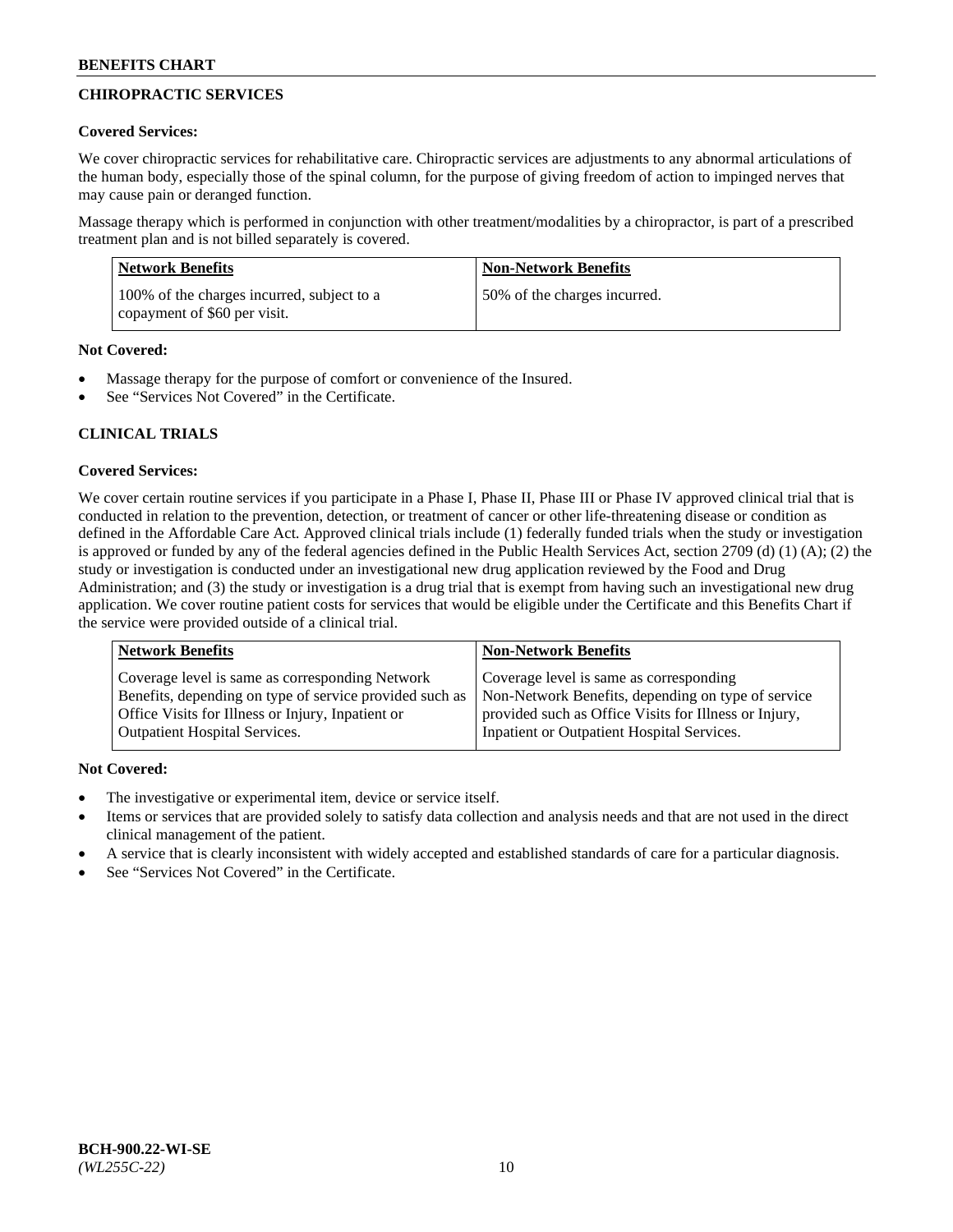# **CHIROPRACTIC SERVICES**

## **Covered Services:**

We cover chiropractic services for rehabilitative care. Chiropractic services are adjustments to any abnormal articulations of the human body, especially those of the spinal column, for the purpose of giving freedom of action to impinged nerves that may cause pain or deranged function.

Massage therapy which is performed in conjunction with other treatment/modalities by a chiropractor, is part of a prescribed treatment plan and is not billed separately is covered.

| Network Benefits                                                           | <b>Non-Network Benefits</b>  |
|----------------------------------------------------------------------------|------------------------------|
| 100% of the charges incurred, subject to a<br>copayment of \$60 per visit. | 50% of the charges incurred. |

# **Not Covered:**

- Massage therapy for the purpose of comfort or convenience of the Insured.
- See "Services Not Covered" in the Certificate.

# **CLINICAL TRIALS**

# **Covered Services:**

We cover certain routine services if you participate in a Phase I, Phase II, Phase III or Phase IV approved clinical trial that is conducted in relation to the prevention, detection, or treatment of cancer or other life-threatening disease or condition as defined in the Affordable Care Act. Approved clinical trials include (1) federally funded trials when the study or investigation is approved or funded by any of the federal agencies defined in the Public Health Services Act, section 2709 (d) (1) (A); (2) the study or investigation is conducted under an investigational new drug application reviewed by the Food and Drug Administration; and (3) the study or investigation is a drug trial that is exempt from having such an investigational new drug application. We cover routine patient costs for services that would be eligible under the Certificate and this Benefits Chart if the service were provided outside of a clinical trial.

| <b>Network Benefits</b>                                 | <b>Non-Network Benefits</b>                           |
|---------------------------------------------------------|-------------------------------------------------------|
| Coverage level is same as corresponding Network         | Coverage level is same as corresponding               |
| Benefits, depending on type of service provided such as | Non-Network Benefits, depending on type of service    |
| Office Visits for Illness or Injury, Inpatient or       | provided such as Office Visits for Illness or Injury, |
| <b>Outpatient Hospital Services.</b>                    | Inpatient or Outpatient Hospital Services.            |

# **Not Covered:**

- The investigative or experimental item, device or service itself.
- Items or services that are provided solely to satisfy data collection and analysis needs and that are not used in the direct clinical management of the patient.
- A service that is clearly inconsistent with widely accepted and established standards of care for a particular diagnosis.
- See "Services Not Covered" in the Certificate.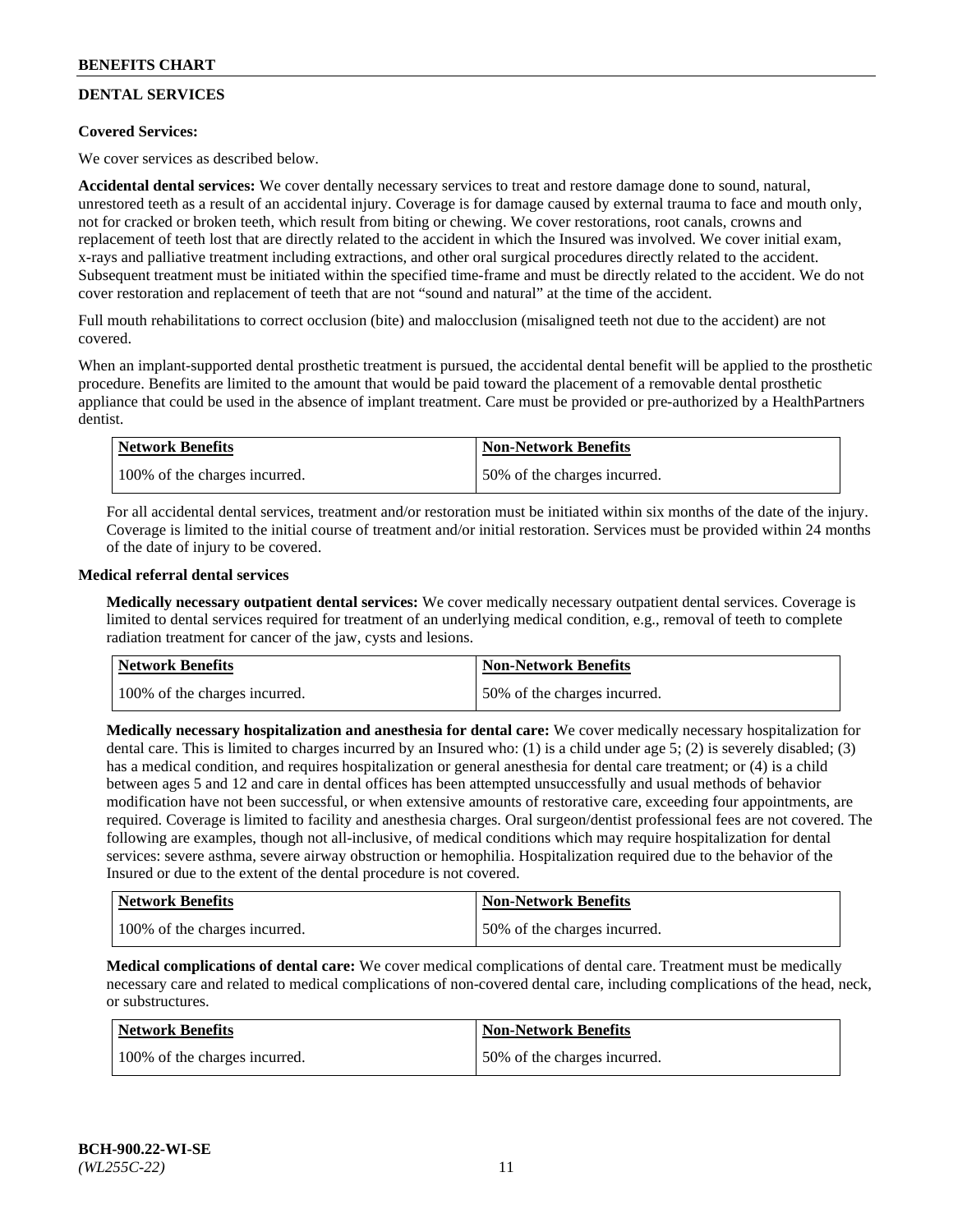# **DENTAL SERVICES**

## **Covered Services:**

We cover services as described below.

**Accidental dental services:** We cover dentally necessary services to treat and restore damage done to sound, natural, unrestored teeth as a result of an accidental injury. Coverage is for damage caused by external trauma to face and mouth only, not for cracked or broken teeth, which result from biting or chewing. We cover restorations, root canals, crowns and replacement of teeth lost that are directly related to the accident in which the Insured was involved. We cover initial exam, x-rays and palliative treatment including extractions, and other oral surgical procedures directly related to the accident. Subsequent treatment must be initiated within the specified time-frame and must be directly related to the accident. We do not cover restoration and replacement of teeth that are not "sound and natural" at the time of the accident.

Full mouth rehabilitations to correct occlusion (bite) and malocclusion (misaligned teeth not due to the accident) are not covered.

When an implant-supported dental prosthetic treatment is pursued, the accidental dental benefit will be applied to the prosthetic procedure. Benefits are limited to the amount that would be paid toward the placement of a removable dental prosthetic appliance that could be used in the absence of implant treatment. Care must be provided or pre-authorized by a HealthPartners dentist.

| Network Benefits              | <b>Non-Network Benefits</b>  |
|-------------------------------|------------------------------|
| 100% of the charges incurred. | 50% of the charges incurred. |

For all accidental dental services, treatment and/or restoration must be initiated within six months of the date of the injury. Coverage is limited to the initial course of treatment and/or initial restoration. Services must be provided within 24 months of the date of injury to be covered.

## **Medical referral dental services**

**Medically necessary outpatient dental services:** We cover medically necessary outpatient dental services. Coverage is limited to dental services required for treatment of an underlying medical condition, e.g., removal of teeth to complete radiation treatment for cancer of the jaw, cysts and lesions.

| Network Benefits              | <b>Non-Network Benefits</b>  |
|-------------------------------|------------------------------|
| 100% of the charges incurred. | 50% of the charges incurred. |

**Medically necessary hospitalization and anesthesia for dental care:** We cover medically necessary hospitalization for dental care. This is limited to charges incurred by an Insured who: (1) is a child under age  $5$ ; (2) is severely disabled; (3) has a medical condition, and requires hospitalization or general anesthesia for dental care treatment; or (4) is a child between ages 5 and 12 and care in dental offices has been attempted unsuccessfully and usual methods of behavior modification have not been successful, or when extensive amounts of restorative care, exceeding four appointments, are required. Coverage is limited to facility and anesthesia charges. Oral surgeon/dentist professional fees are not covered. The following are examples, though not all-inclusive, of medical conditions which may require hospitalization for dental services: severe asthma, severe airway obstruction or hemophilia. Hospitalization required due to the behavior of the Insured or due to the extent of the dental procedure is not covered.

| Network Benefits              | <b>Non-Network Benefits</b>  |
|-------------------------------|------------------------------|
| 100% of the charges incurred. | 50% of the charges incurred. |

**Medical complications of dental care:** We cover medical complications of dental care. Treatment must be medically necessary care and related to medical complications of non-covered dental care, including complications of the head, neck, or substructures.

| Network Benefits              | <b>Non-Network Benefits</b>  |
|-------------------------------|------------------------------|
| 100% of the charges incurred. | 50% of the charges incurred. |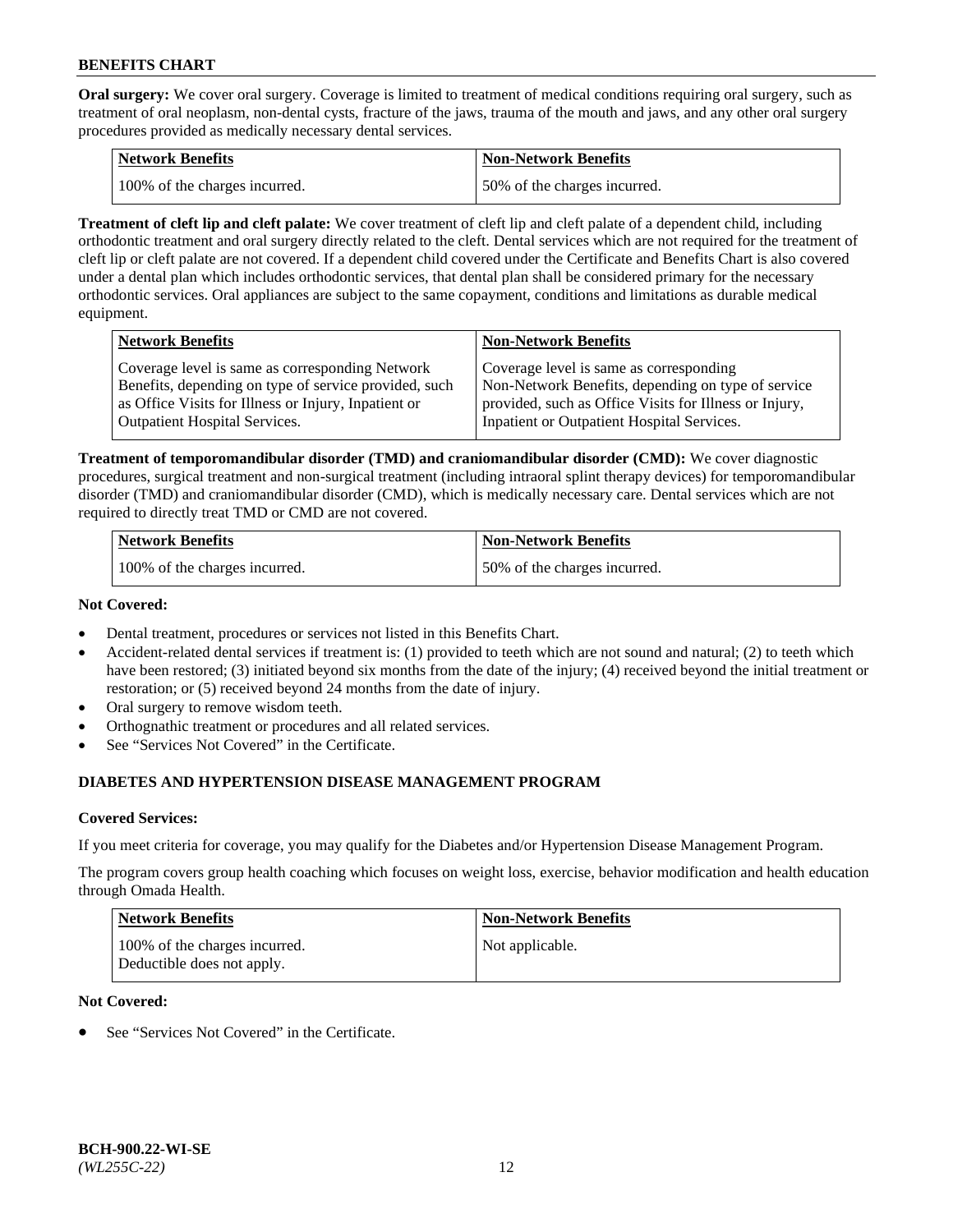**Oral surgery:** We cover oral surgery. Coverage is limited to treatment of medical conditions requiring oral surgery, such as treatment of oral neoplasm, non-dental cysts, fracture of the jaws, trauma of the mouth and jaws, and any other oral surgery procedures provided as medically necessary dental services.

| <b>Network Benefits</b>       | <b>Non-Network Benefits</b>  |
|-------------------------------|------------------------------|
| 100% of the charges incurred. | 50% of the charges incurred. |

**Treatment of cleft lip and cleft palate:** We cover treatment of cleft lip and cleft palate of a dependent child, including orthodontic treatment and oral surgery directly related to the cleft. Dental services which are not required for the treatment of cleft lip or cleft palate are not covered. If a dependent child covered under the Certificate and Benefits Chart is also covered under a dental plan which includes orthodontic services, that dental plan shall be considered primary for the necessary orthodontic services. Oral appliances are subject to the same copayment, conditions and limitations as durable medical equipment.

| <b>Network Benefits</b>                               | <b>Non-Network Benefits</b>                            |
|-------------------------------------------------------|--------------------------------------------------------|
| Coverage level is same as corresponding Network       | Coverage level is same as corresponding                |
| Benefits, depending on type of service provided, such | Non-Network Benefits, depending on type of service     |
| as Office Visits for Illness or Injury, Inpatient or  | provided, such as Office Visits for Illness or Injury, |
| <b>Outpatient Hospital Services.</b>                  | Inpatient or Outpatient Hospital Services.             |

**Treatment of temporomandibular disorder (TMD) and craniomandibular disorder (CMD):** We cover diagnostic procedures, surgical treatment and non-surgical treatment (including intraoral splint therapy devices) for temporomandibular disorder (TMD) and craniomandibular disorder (CMD), which is medically necessary care. Dental services which are not required to directly treat TMD or CMD are not covered.

| <b>Network Benefits</b>       | <b>Non-Network Benefits</b>  |
|-------------------------------|------------------------------|
| 100% of the charges incurred. | 50% of the charges incurred. |

### **Not Covered:**

- Dental treatment, procedures or services not listed in this Benefits Chart.
- Accident-related dental services if treatment is: (1) provided to teeth which are not sound and natural; (2) to teeth which have been restored; (3) initiated beyond six months from the date of the injury; (4) received beyond the initial treatment or restoration; or (5) received beyond 24 months from the date of injury.
- Oral surgery to remove wisdom teeth.
- Orthognathic treatment or procedures and all related services.
- See "Services Not Covered" in the Certificate.

# **DIABETES AND HYPERTENSION DISEASE MANAGEMENT PROGRAM**

## **Covered Services:**

If you meet criteria for coverage, you may qualify for the Diabetes and/or Hypertension Disease Management Program.

The program covers group health coaching which focuses on weight loss, exercise, behavior modification and health education through Omada Health.

| <b>Network Benefits</b>                                     | <b>Non-Network Benefits</b> |
|-------------------------------------------------------------|-----------------------------|
| 100% of the charges incurred.<br>Deductible does not apply. | Not applicable.             |

## **Not Covered:**

See "Services Not Covered" in the Certificate.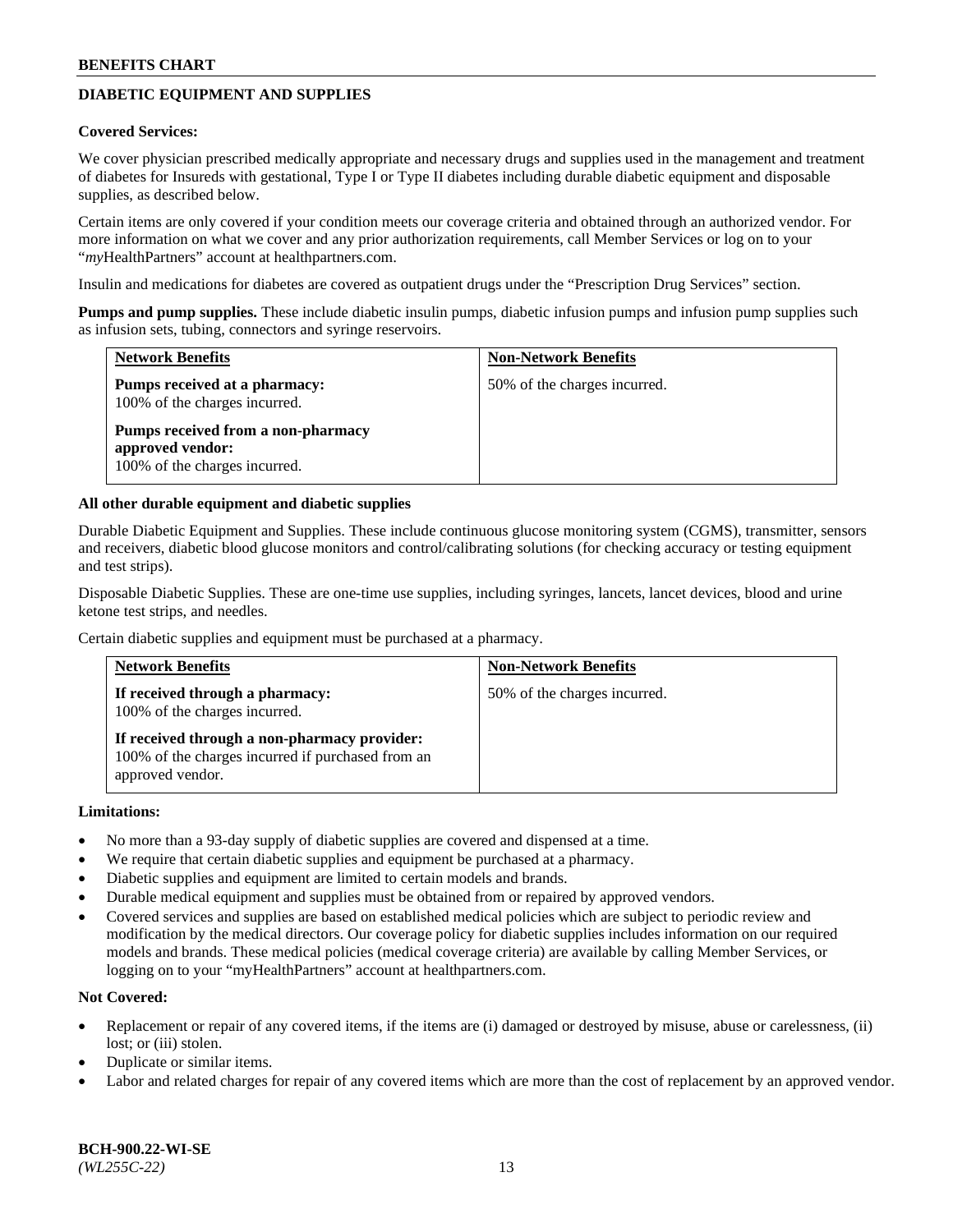# **DIABETIC EQUIPMENT AND SUPPLIES**

#### **Covered Services:**

We cover physician prescribed medically appropriate and necessary drugs and supplies used in the management and treatment of diabetes for Insureds with gestational, Type I or Type II diabetes including durable diabetic equipment and disposable supplies, as described below.

Certain items are only covered if your condition meets our coverage criteria and obtained through an authorized vendor. For more information on what we cover and any prior authorization requirements, call Member Services or log on to your "*my*HealthPartners" account at [healthpartners.com.](http://www.healthpartners.com/)

Insulin and medications for diabetes are covered as outpatient drugs under the "Prescription Drug Services" section.

**Pumps and pump supplies.** These include diabetic insulin pumps, diabetic infusion pumps and infusion pump supplies such as infusion sets, tubing, connectors and syringe reservoirs.

| <b>Network Benefits</b>                                                                 | <b>Non-Network Benefits</b>  |
|-----------------------------------------------------------------------------------------|------------------------------|
| <b>Pumps received at a pharmacy:</b><br>100% of the charges incurred.                   | 50% of the charges incurred. |
| Pumps received from a non-pharmacy<br>approved vendor:<br>100% of the charges incurred. |                              |

### **All other durable equipment and diabetic supplies**

Durable Diabetic Equipment and Supplies. These include continuous glucose monitoring system (CGMS), transmitter, sensors and receivers, diabetic blood glucose monitors and control/calibrating solutions (for checking accuracy or testing equipment and test strips).

Disposable Diabetic Supplies. These are one-time use supplies, including syringes, lancets, lancet devices, blood and urine ketone test strips, and needles.

Certain diabetic supplies and equipment must be purchased at a pharmacy.

| <b>Network Benefits</b>                                                                                               | <b>Non-Network Benefits</b>  |
|-----------------------------------------------------------------------------------------------------------------------|------------------------------|
| If received through a pharmacy:<br>100% of the charges incurred.                                                      | 50% of the charges incurred. |
| If received through a non-pharmacy provider:<br>100% of the charges incurred if purchased from an<br>approved vendor. |                              |

#### **Limitations:**

- No more than a 93-day supply of diabetic supplies are covered and dispensed at a time.
- We require that certain diabetic supplies and equipment be purchased at a pharmacy.
- Diabetic supplies and equipment are limited to certain models and brands.
- Durable medical equipment and supplies must be obtained from or repaired by approved vendors.
- Covered services and supplies are based on established medical policies which are subject to periodic review and modification by the medical directors. Our coverage policy for diabetic supplies includes information on our required models and brands. These medical policies (medical coverage criteria) are available by calling Member Services, or logging on to your "myHealthPartners" account at [healthpartners.com.](http://www.healthpartners.com/)

## **Not Covered:**

- Replacement or repair of any covered items, if the items are (i) damaged or destroyed by misuse, abuse or carelessness, (ii) lost; or (iii) stolen.
- Duplicate or similar items.
- Labor and related charges for repair of any covered items which are more than the cost of replacement by an approved vendor.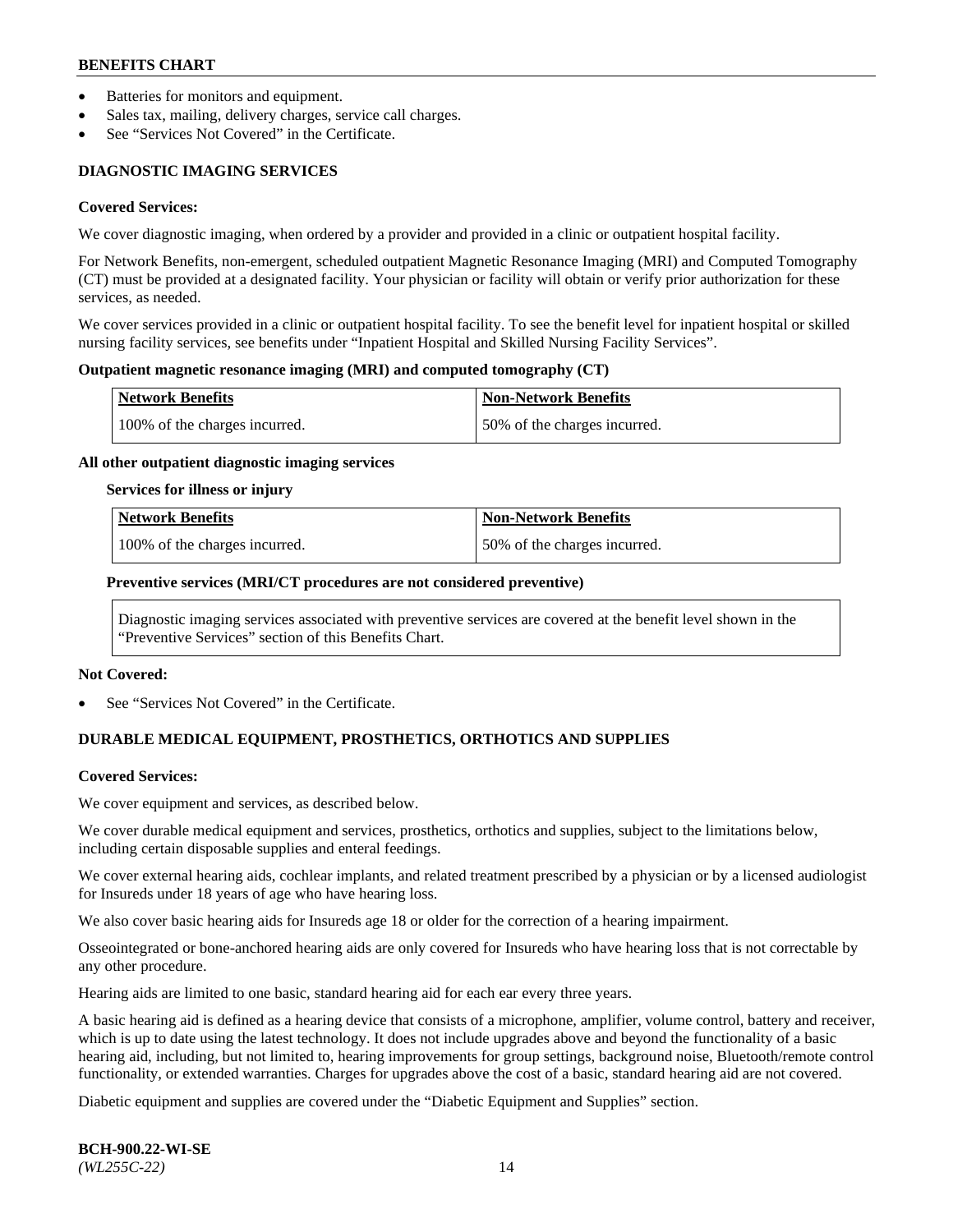- Batteries for monitors and equipment.
- Sales tax, mailing, delivery charges, service call charges.
- See "Services Not Covered" in the Certificate.

# **DIAGNOSTIC IMAGING SERVICES**

#### **Covered Services:**

We cover diagnostic imaging, when ordered by a provider and provided in a clinic or outpatient hospital facility.

For Network Benefits, non-emergent, scheduled outpatient Magnetic Resonance Imaging (MRI) and Computed Tomography (CT) must be provided at a designated facility. Your physician or facility will obtain or verify prior authorization for these services, as needed.

We cover services provided in a clinic or outpatient hospital facility. To see the benefit level for inpatient hospital or skilled nursing facility services, see benefits under "Inpatient Hospital and Skilled Nursing Facility Services".

### **Outpatient magnetic resonance imaging (MRI) and computed tomography (CT)**

| <b>Network Benefits</b>       | <b>Non-Network Benefits</b>  |
|-------------------------------|------------------------------|
| 100% of the charges incurred. | 50% of the charges incurred. |

### **All other outpatient diagnostic imaging services**

#### **Services for illness or injury**

| Network Benefits              | <b>Non-Network Benefits</b>  |
|-------------------------------|------------------------------|
| 100% of the charges incurred. | 50% of the charges incurred. |

### **Preventive services (MRI/CT procedures are not considered preventive)**

Diagnostic imaging services associated with preventive services are covered at the benefit level shown in the "Preventive Services" section of this Benefits Chart.

#### **Not Covered:**

See "Services Not Covered" in the Certificate.

# **DURABLE MEDICAL EQUIPMENT, PROSTHETICS, ORTHOTICS AND SUPPLIES**

#### **Covered Services:**

We cover equipment and services, as described below.

We cover durable medical equipment and services, prosthetics, orthotics and supplies, subject to the limitations below, including certain disposable supplies and enteral feedings.

We cover external hearing aids, cochlear implants, and related treatment prescribed by a physician or by a licensed audiologist for Insureds under 18 years of age who have hearing loss.

We also cover basic hearing aids for Insureds age 18 or older for the correction of a hearing impairment.

Osseointegrated or bone-anchored hearing aids are only covered for Insureds who have hearing loss that is not correctable by any other procedure.

Hearing aids are limited to one basic, standard hearing aid for each ear every three years.

A basic hearing aid is defined as a hearing device that consists of a microphone, amplifier, volume control, battery and receiver, which is up to date using the latest technology. It does not include upgrades above and beyond the functionality of a basic hearing aid, including, but not limited to, hearing improvements for group settings, background noise, Bluetooth/remote control functionality, or extended warranties. Charges for upgrades above the cost of a basic, standard hearing aid are not covered.

Diabetic equipment and supplies are covered under the "Diabetic Equipment and Supplies" section.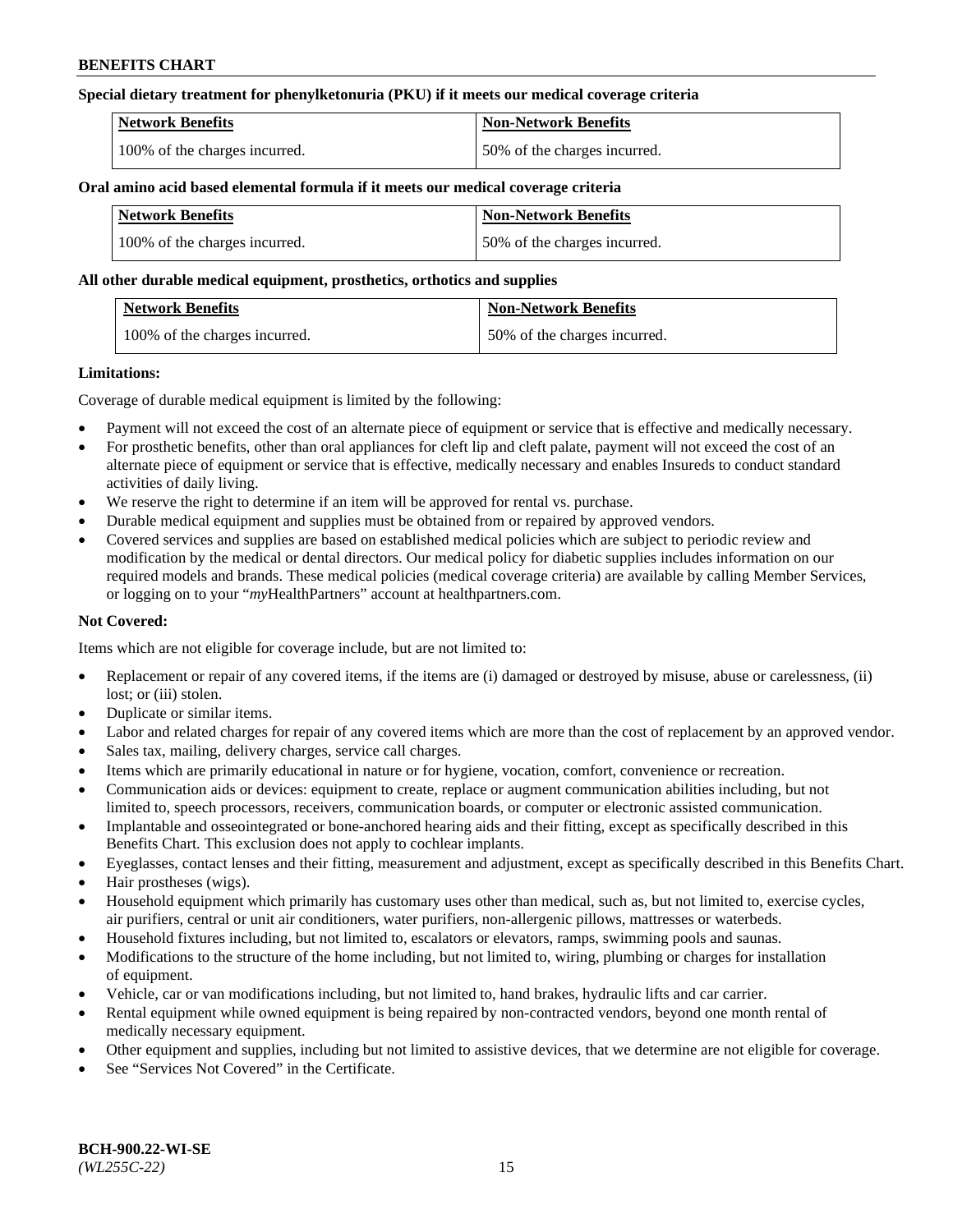## **Special dietary treatment for phenylketonuria (PKU) if it meets our medical coverage criteria**

| <b>Network Benefits</b>       | <b>Non-Network Benefits</b>  |
|-------------------------------|------------------------------|
| 100% of the charges incurred. | 50% of the charges incurred. |

### **Oral amino acid based elemental formula if it meets our medical coverage criteria**

| <b>Network Benefits</b>       | Non-Network Benefits         |
|-------------------------------|------------------------------|
| 100% of the charges incurred. | 50% of the charges incurred. |

### **All other durable medical equipment, prosthetics, orthotics and supplies**

| <b>Network Benefits</b>       | <b>Non-Network Benefits</b>  |
|-------------------------------|------------------------------|
| 100% of the charges incurred. | 50% of the charges incurred. |

### **Limitations:**

Coverage of durable medical equipment is limited by the following:

- Payment will not exceed the cost of an alternate piece of equipment or service that is effective and medically necessary.
- For prosthetic benefits, other than oral appliances for cleft lip and cleft palate, payment will not exceed the cost of an alternate piece of equipment or service that is effective, medically necessary and enables Insureds to conduct standard activities of daily living.
- We reserve the right to determine if an item will be approved for rental vs. purchase.
- Durable medical equipment and supplies must be obtained from or repaired by approved vendors.
- Covered services and supplies are based on established medical policies which are subject to periodic review and modification by the medical or dental directors. Our medical policy for diabetic supplies includes information on our required models and brands. These medical policies (medical coverage criteria) are available by calling Member Services, or logging on to your "*my*HealthPartners" account a[t healthpartners.com.](http://www.healthpartners.com/)

## **Not Covered:**

Items which are not eligible for coverage include, but are not limited to:

- Replacement or repair of any covered items, if the items are (i) damaged or destroyed by misuse, abuse or carelessness, (ii) lost; or (iii) stolen.
- Duplicate or similar items.
- Labor and related charges for repair of any covered items which are more than the cost of replacement by an approved vendor.
- Sales tax, mailing, delivery charges, service call charges.
- Items which are primarily educational in nature or for hygiene, vocation, comfort, convenience or recreation.
- Communication aids or devices: equipment to create, replace or augment communication abilities including, but not limited to, speech processors, receivers, communication boards, or computer or electronic assisted communication.
- Implantable and osseointegrated or bone-anchored hearing aids and their fitting, except as specifically described in this Benefits Chart. This exclusion does not apply to cochlear implants.
- Eyeglasses, contact lenses and their fitting, measurement and adjustment, except as specifically described in this Benefits Chart.
- Hair prostheses (wigs).
- Household equipment which primarily has customary uses other than medical, such as, but not limited to, exercise cycles, air purifiers, central or unit air conditioners, water purifiers, non-allergenic pillows, mattresses or waterbeds.
- Household fixtures including, but not limited to, escalators or elevators, ramps, swimming pools and saunas.
- Modifications to the structure of the home including, but not limited to, wiring, plumbing or charges for installation of equipment.
- Vehicle, car or van modifications including, but not limited to, hand brakes, hydraulic lifts and car carrier.
- Rental equipment while owned equipment is being repaired by non-contracted vendors, beyond one month rental of medically necessary equipment.
- Other equipment and supplies, including but not limited to assistive devices, that we determine are not eligible for coverage.
- See "Services Not Covered" in the Certificate.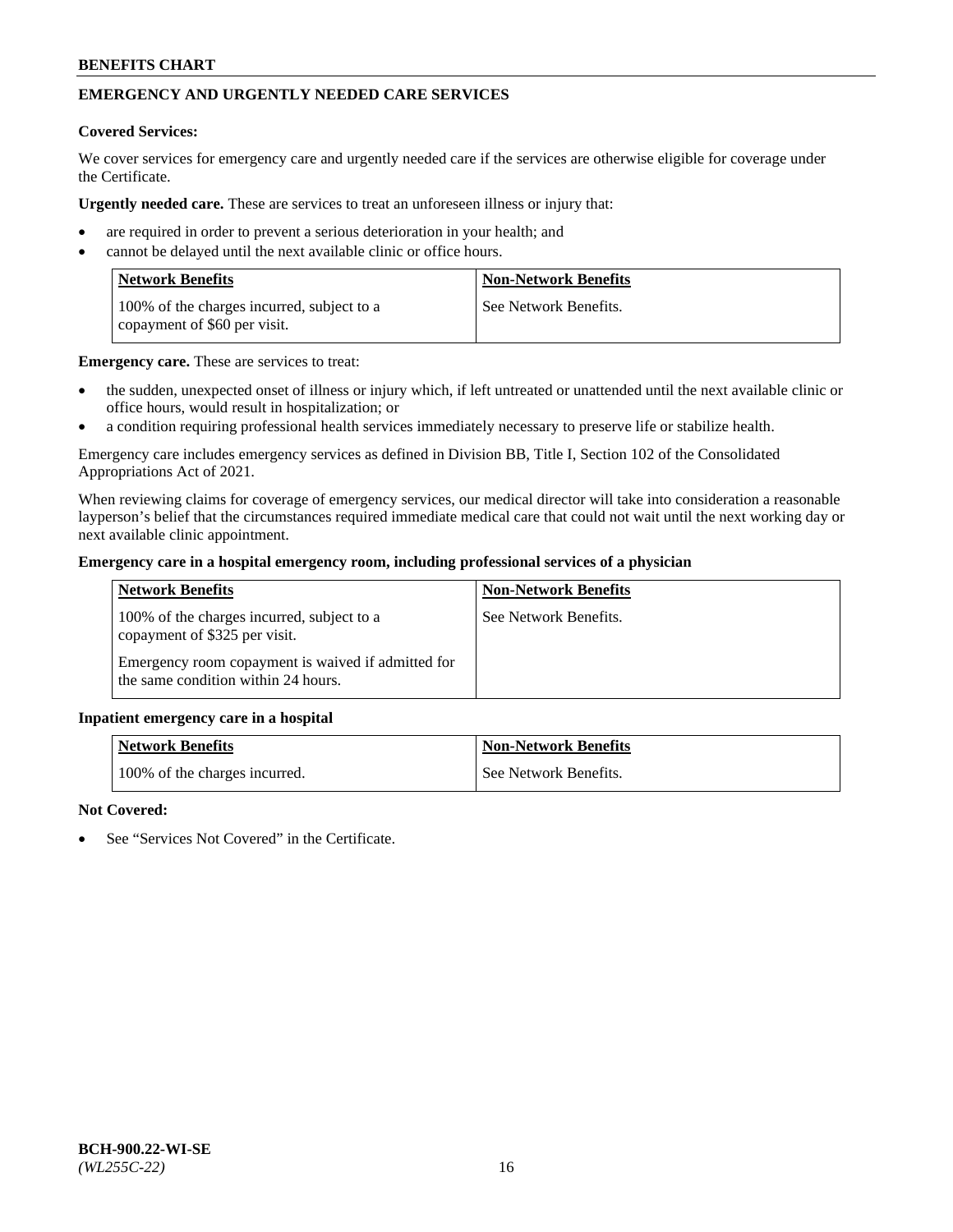# **EMERGENCY AND URGENTLY NEEDED CARE SERVICES**

## **Covered Services:**

We cover services for emergency care and urgently needed care if the services are otherwise eligible for coverage under the Certificate.

**Urgently needed care.** These are services to treat an unforeseen illness or injury that:

- are required in order to prevent a serious deterioration in your health; and
- cannot be delayed until the next available clinic or office hours.

| <b>Network Benefits</b>                                                    | <b>Non-Network Benefits</b> |
|----------------------------------------------------------------------------|-----------------------------|
| 100% of the charges incurred, subject to a<br>copayment of \$60 per visit. | See Network Benefits.       |

**Emergency care.** These are services to treat:

- the sudden, unexpected onset of illness or injury which, if left untreated or unattended until the next available clinic or office hours, would result in hospitalization; or
- a condition requiring professional health services immediately necessary to preserve life or stabilize health.

Emergency care includes emergency services as defined in Division BB, Title I, Section 102 of the Consolidated Appropriations Act of 2021.

When reviewing claims for coverage of emergency services, our medical director will take into consideration a reasonable layperson's belief that the circumstances required immediate medical care that could not wait until the next working day or next available clinic appointment.

### **Emergency care in a hospital emergency room, including professional services of a physician**

| <b>Network Benefits</b>                                                                   | <b>Non-Network Benefits</b> |
|-------------------------------------------------------------------------------------------|-----------------------------|
| 100% of the charges incurred, subject to a<br>copayment of \$325 per visit.               | See Network Benefits.       |
| Emergency room copayment is waived if admitted for<br>the same condition within 24 hours. |                             |

#### **Inpatient emergency care in a hospital**

| <b>Network Benefits</b>       | Non-Network Benefits    |
|-------------------------------|-------------------------|
| 100% of the charges incurred. | l See Network Benefits. |

## **Not Covered:**

See "Services Not Covered" in the Certificate.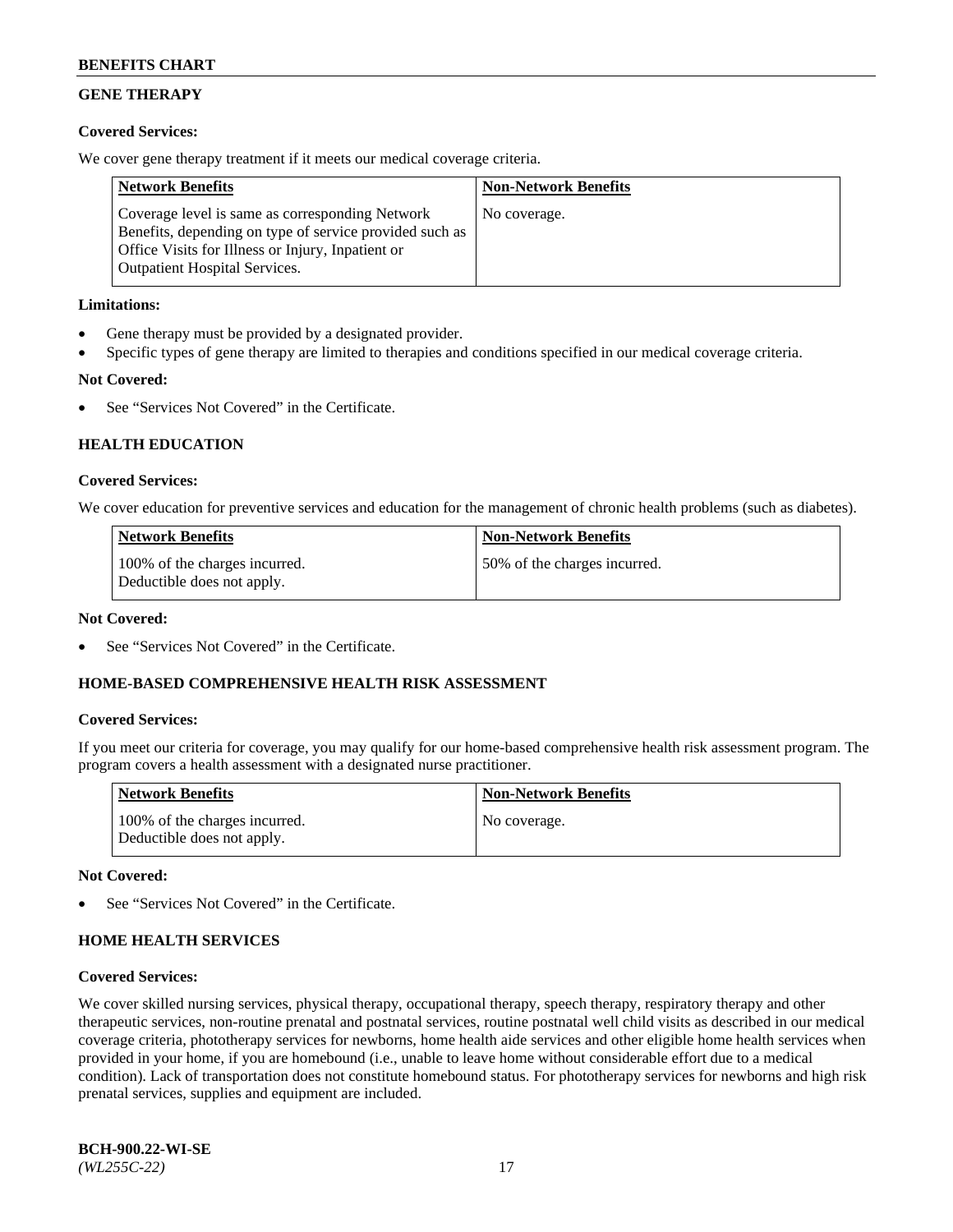# **GENE THERAPY**

## **Covered Services:**

We cover gene therapy treatment if it meets our medical coverage criteria.

| <b>Network Benefits</b>                                                                                                                                                                                 | <b>Non-Network Benefits</b> |
|---------------------------------------------------------------------------------------------------------------------------------------------------------------------------------------------------------|-----------------------------|
| Coverage level is same as corresponding Network<br>Benefits, depending on type of service provided such as<br>Office Visits for Illness or Injury, Inpatient or<br><b>Outpatient Hospital Services.</b> | No coverage.                |

## **Limitations:**

- Gene therapy must be provided by a designated provider.
- Specific types of gene therapy are limited to therapies and conditions specified in our medical coverage criteria.

# **Not Covered:**

See "Services Not Covered" in the Certificate.

# **HEALTH EDUCATION**

## **Covered Services:**

We cover education for preventive services and education for the management of chronic health problems (such as diabetes).

| <b>Network Benefits</b>                                     | <b>Non-Network Benefits</b>  |
|-------------------------------------------------------------|------------------------------|
| 100% of the charges incurred.<br>Deductible does not apply. | 50% of the charges incurred. |

## **Not Covered:**

See "Services Not Covered" in the Certificate.

## **HOME-BASED COMPREHENSIVE HEALTH RISK ASSESSMENT**

## **Covered Services:**

If you meet our criteria for coverage, you may qualify for our home-based comprehensive health risk assessment program. The program covers a health assessment with a designated nurse practitioner.

| <b>Network Benefits</b>                                     | <b>Non-Network Benefits</b> |
|-------------------------------------------------------------|-----------------------------|
| 100% of the charges incurred.<br>Deductible does not apply. | No coverage.                |

## **Not Covered:**

See "Services Not Covered" in the Certificate.

# **HOME HEALTH SERVICES**

## **Covered Services:**

We cover skilled nursing services, physical therapy, occupational therapy, speech therapy, respiratory therapy and other therapeutic services, non-routine prenatal and postnatal services, routine postnatal well child visits as described in our medical coverage criteria, phototherapy services for newborns, home health aide services and other eligible home health services when provided in your home, if you are homebound (i.e., unable to leave home without considerable effort due to a medical condition). Lack of transportation does not constitute homebound status. For phototherapy services for newborns and high risk prenatal services, supplies and equipment are included.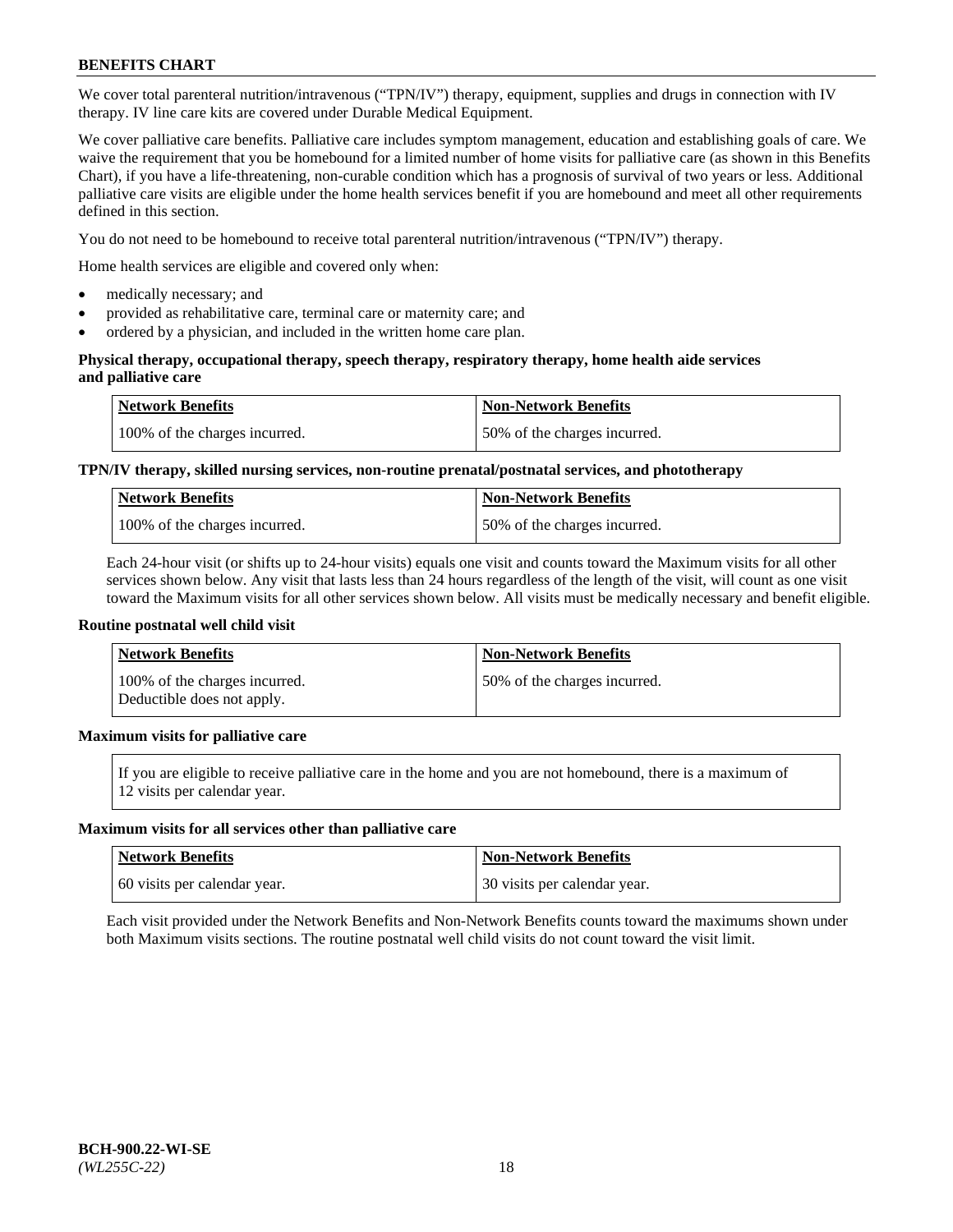We cover total parenteral nutrition/intravenous ("TPN/IV") therapy, equipment, supplies and drugs in connection with IV therapy. IV line care kits are covered under Durable Medical Equipment.

We cover palliative care benefits. Palliative care includes symptom management, education and establishing goals of care. We waive the requirement that you be homebound for a limited number of home visits for palliative care (as shown in this Benefits Chart), if you have a life-threatening, non-curable condition which has a prognosis of survival of two years or less. Additional palliative care visits are eligible under the home health services benefit if you are homebound and meet all other requirements defined in this section.

You do not need to be homebound to receive total parenteral nutrition/intravenous ("TPN/IV") therapy.

Home health services are eligible and covered only when:

- medically necessary; and
- provided as rehabilitative care, terminal care or maternity care; and
- ordered by a physician, and included in the written home care plan.

## **Physical therapy, occupational therapy, speech therapy, respiratory therapy, home health aide services and palliative care**

| <b>Network Benefits</b>       | <b>Non-Network Benefits</b>  |
|-------------------------------|------------------------------|
| 100% of the charges incurred. | 50% of the charges incurred. |

# **TPN/IV therapy, skilled nursing services, non-routine prenatal/postnatal services, and phototherapy**

| <b>Network Benefits</b>       | <b>Non-Network Benefits</b>  |
|-------------------------------|------------------------------|
| 100% of the charges incurred. | 50% of the charges incurred. |

Each 24-hour visit (or shifts up to 24-hour visits) equals one visit and counts toward the Maximum visits for all other services shown below. Any visit that lasts less than 24 hours regardless of the length of the visit, will count as one visit toward the Maximum visits for all other services shown below. All visits must be medically necessary and benefit eligible.

#### **Routine postnatal well child visit**

| <b>Network Benefits</b>                                     | <b>Non-Network Benefits</b>  |
|-------------------------------------------------------------|------------------------------|
| 100% of the charges incurred.<br>Deductible does not apply. | 50% of the charges incurred. |

# **Maximum visits for palliative care**

If you are eligible to receive palliative care in the home and you are not homebound, there is a maximum of 12 visits per calendar year.

#### **Maximum visits for all services other than palliative care**

| Network Benefits             | <b>Non-Network Benefits</b>  |
|------------------------------|------------------------------|
| 60 visits per calendar year. | 30 visits per calendar year. |

Each visit provided under the Network Benefits and Non-Network Benefits counts toward the maximums shown under both Maximum visits sections. The routine postnatal well child visits do not count toward the visit limit.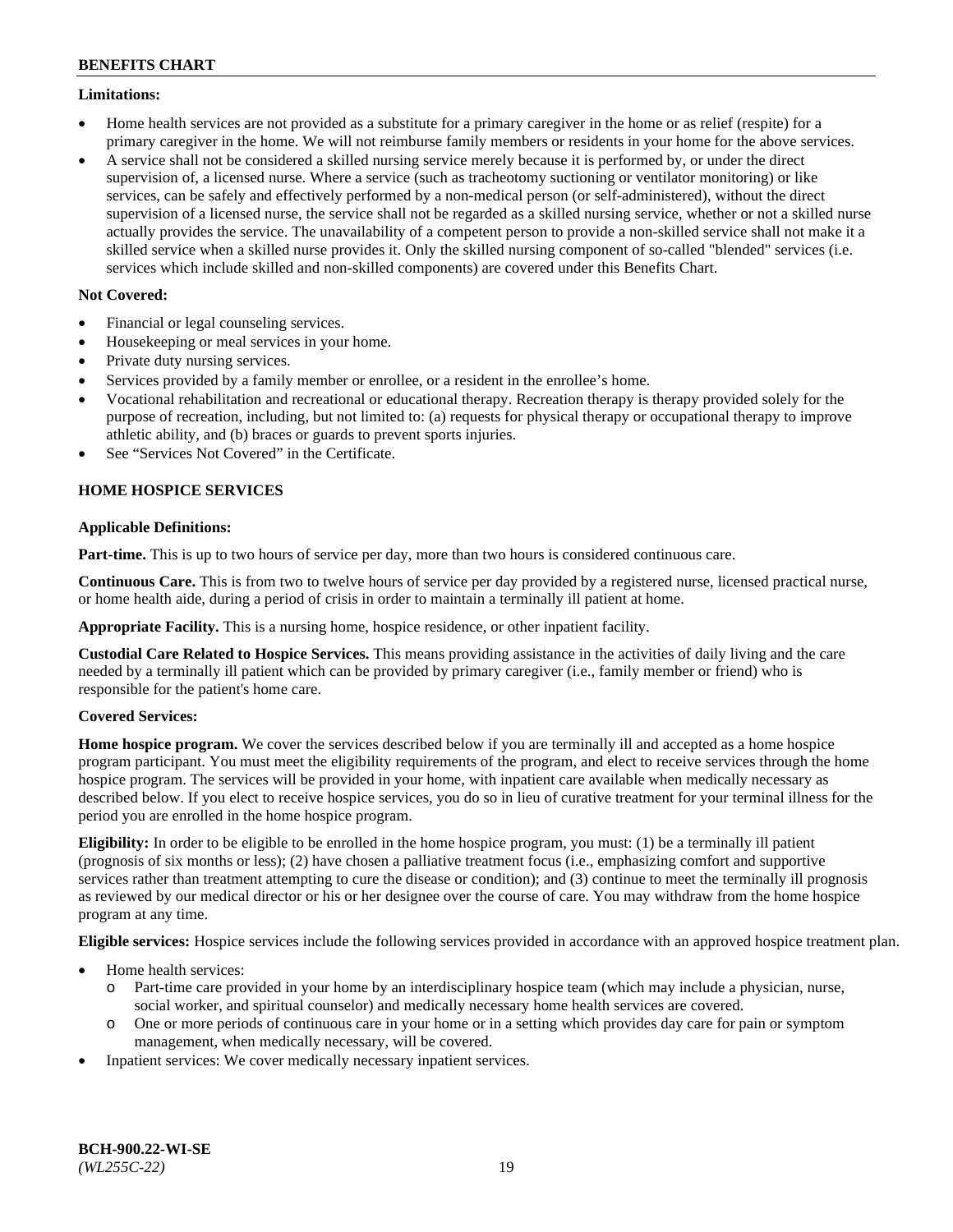## **Limitations:**

- Home health services are not provided as a substitute for a primary caregiver in the home or as relief (respite) for a primary caregiver in the home. We will not reimburse family members or residents in your home for the above services.
- A service shall not be considered a skilled nursing service merely because it is performed by, or under the direct supervision of, a licensed nurse. Where a service (such as tracheotomy suctioning or ventilator monitoring) or like services, can be safely and effectively performed by a non-medical person (or self-administered), without the direct supervision of a licensed nurse, the service shall not be regarded as a skilled nursing service, whether or not a skilled nurse actually provides the service. The unavailability of a competent person to provide a non-skilled service shall not make it a skilled service when a skilled nurse provides it. Only the skilled nursing component of so-called "blended" services (i.e. services which include skilled and non-skilled components) are covered under this Benefits Chart.

## **Not Covered:**

- Financial or legal counseling services.
- Housekeeping or meal services in your home.
- Private duty nursing services.
- Services provided by a family member or enrollee, or a resident in the enrollee's home.
- Vocational rehabilitation and recreational or educational therapy. Recreation therapy is therapy provided solely for the purpose of recreation, including, but not limited to: (a) requests for physical therapy or occupational therapy to improve athletic ability, and (b) braces or guards to prevent sports injuries.
- See "Services Not Covered" in the Certificate.

# **HOME HOSPICE SERVICES**

## **Applicable Definitions:**

**Part-time.** This is up to two hours of service per day, more than two hours is considered continuous care.

**Continuous Care.** This is from two to twelve hours of service per day provided by a registered nurse, licensed practical nurse, or home health aide, during a period of crisis in order to maintain a terminally ill patient at home.

**Appropriate Facility.** This is a nursing home, hospice residence, or other inpatient facility.

**Custodial Care Related to Hospice Services.** This means providing assistance in the activities of daily living and the care needed by a terminally ill patient which can be provided by primary caregiver (i.e., family member or friend) who is responsible for the patient's home care.

## **Covered Services:**

**Home hospice program.** We cover the services described below if you are terminally ill and accepted as a home hospice program participant. You must meet the eligibility requirements of the program, and elect to receive services through the home hospice program. The services will be provided in your home, with inpatient care available when medically necessary as described below. If you elect to receive hospice services, you do so in lieu of curative treatment for your terminal illness for the period you are enrolled in the home hospice program.

**Eligibility:** In order to be eligible to be enrolled in the home hospice program, you must: (1) be a terminally ill patient (prognosis of six months or less); (2) have chosen a palliative treatment focus (i.e., emphasizing comfort and supportive services rather than treatment attempting to cure the disease or condition); and (3) continue to meet the terminally ill prognosis as reviewed by our medical director or his or her designee over the course of care. You may withdraw from the home hospice program at any time.

**Eligible services:** Hospice services include the following services provided in accordance with an approved hospice treatment plan.

- Home health services:
	- o Part-time care provided in your home by an interdisciplinary hospice team (which may include a physician, nurse, social worker, and spiritual counselor) and medically necessary home health services are covered.
	- o One or more periods of continuous care in your home or in a setting which provides day care for pain or symptom management, when medically necessary, will be covered.
- Inpatient services: We cover medically necessary inpatient services.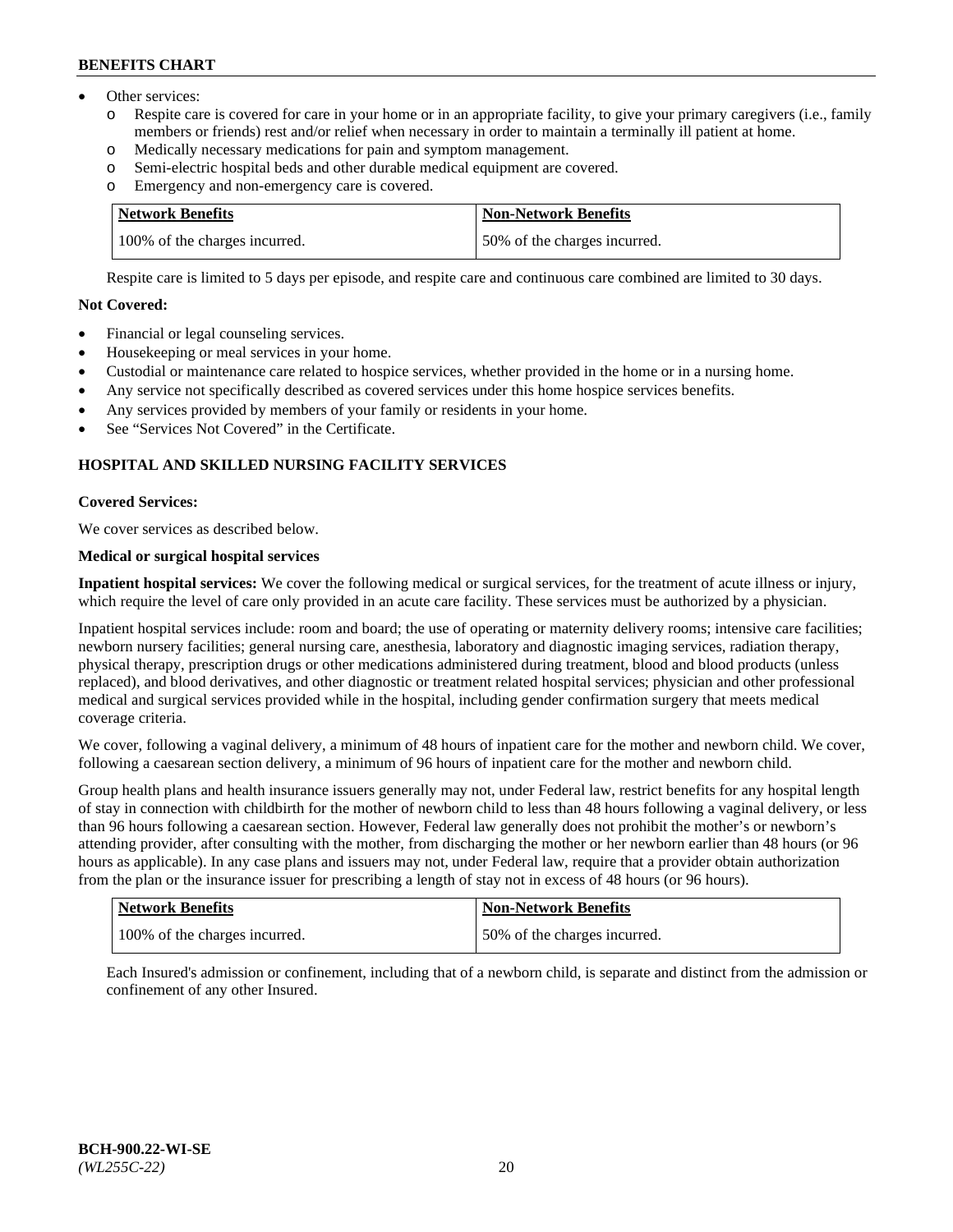- Other services:
	- Respite care is covered for care in your home or in an appropriate facility, to give your primary caregivers (i.e., family members or friends) rest and/or relief when necessary in order to maintain a terminally ill patient at home.
	- o Medically necessary medications for pain and symptom management.
	- o Semi-electric hospital beds and other durable medical equipment are covered.
	- Emergency and non-emergency care is covered.

| Network Benefits              | <b>Non-Network Benefits</b>  |
|-------------------------------|------------------------------|
| 100% of the charges incurred. | 50% of the charges incurred. |

Respite care is limited to 5 days per episode, and respite care and continuous care combined are limited to 30 days.

# **Not Covered:**

- Financial or legal counseling services.
- Housekeeping or meal services in your home.
- Custodial or maintenance care related to hospice services, whether provided in the home or in a nursing home.
- Any service not specifically described as covered services under this home hospice services benefits.
- Any services provided by members of your family or residents in your home.
- See "Services Not Covered" in the Certificate.

## **HOSPITAL AND SKILLED NURSING FACILITY SERVICES**

### **Covered Services:**

We cover services as described below.

# **Medical or surgical hospital services**

**Inpatient hospital services:** We cover the following medical or surgical services, for the treatment of acute illness or injury, which require the level of care only provided in an acute care facility. These services must be authorized by a physician.

Inpatient hospital services include: room and board; the use of operating or maternity delivery rooms; intensive care facilities; newborn nursery facilities; general nursing care, anesthesia, laboratory and diagnostic imaging services, radiation therapy, physical therapy, prescription drugs or other medications administered during treatment, blood and blood products (unless replaced), and blood derivatives, and other diagnostic or treatment related hospital services; physician and other professional medical and surgical services provided while in the hospital, including gender confirmation surgery that meets medical coverage criteria.

We cover, following a vaginal delivery, a minimum of 48 hours of inpatient care for the mother and newborn child. We cover, following a caesarean section delivery, a minimum of 96 hours of inpatient care for the mother and newborn child.

Group health plans and health insurance issuers generally may not, under Federal law, restrict benefits for any hospital length of stay in connection with childbirth for the mother of newborn child to less than 48 hours following a vaginal delivery, or less than 96 hours following a caesarean section. However, Federal law generally does not prohibit the mother's or newborn's attending provider, after consulting with the mother, from discharging the mother or her newborn earlier than 48 hours (or 96 hours as applicable). In any case plans and issuers may not, under Federal law, require that a provider obtain authorization from the plan or the insurance issuer for prescribing a length of stay not in excess of 48 hours (or 96 hours).

| Network Benefits              | Non-Network Benefits          |
|-------------------------------|-------------------------------|
| 100% of the charges incurred. | 150% of the charges incurred. |

Each Insured's admission or confinement, including that of a newborn child, is separate and distinct from the admission or confinement of any other Insured.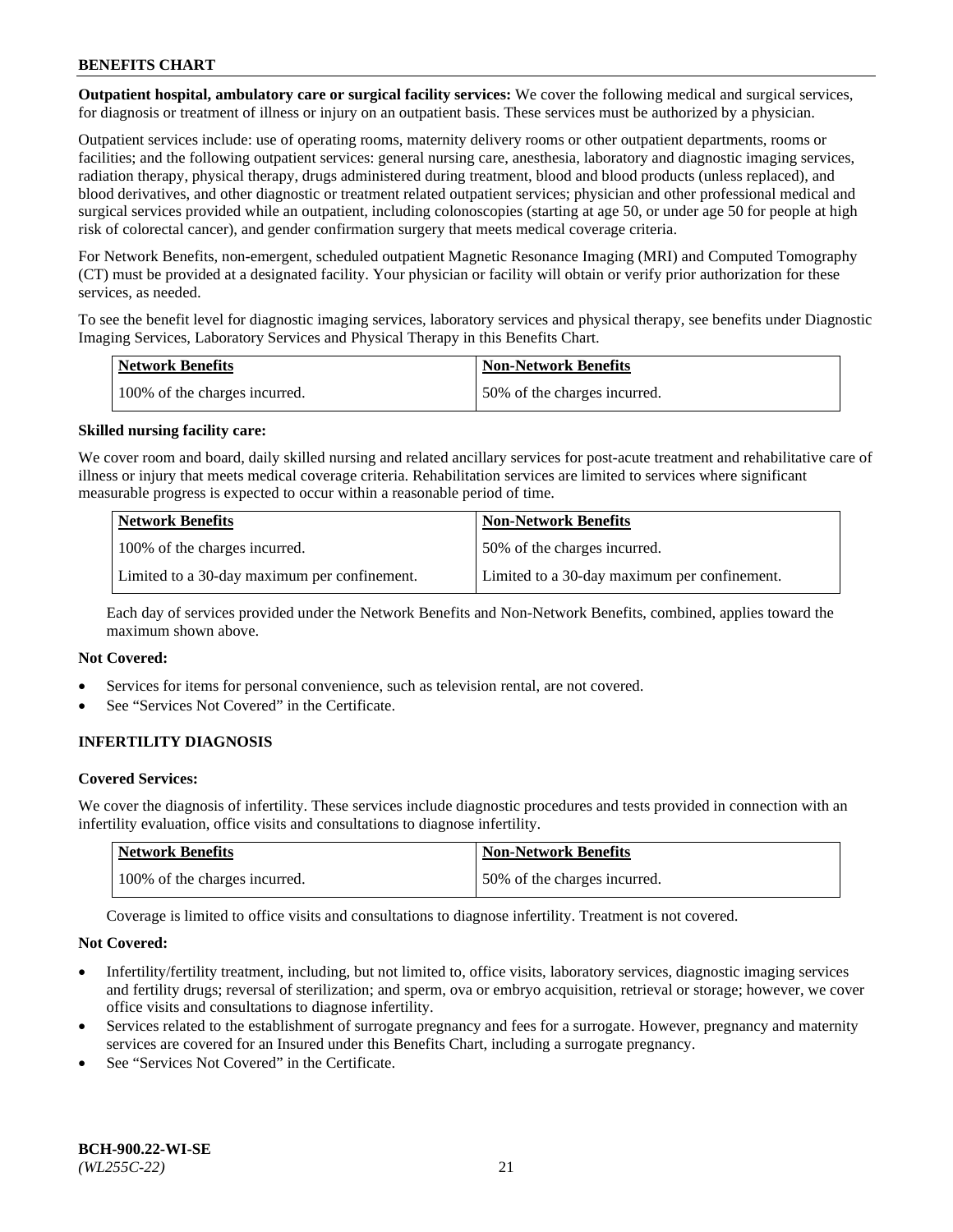**Outpatient hospital, ambulatory care or surgical facility services:** We cover the following medical and surgical services, for diagnosis or treatment of illness or injury on an outpatient basis. These services must be authorized by a physician.

Outpatient services include: use of operating rooms, maternity delivery rooms or other outpatient departments, rooms or facilities; and the following outpatient services: general nursing care, anesthesia, laboratory and diagnostic imaging services, radiation therapy, physical therapy, drugs administered during treatment, blood and blood products (unless replaced), and blood derivatives, and other diagnostic or treatment related outpatient services; physician and other professional medical and surgical services provided while an outpatient, including colonoscopies (starting at age 50, or under age 50 for people at high risk of colorectal cancer), and gender confirmation surgery that meets medical coverage criteria.

For Network Benefits, non-emergent, scheduled outpatient Magnetic Resonance Imaging (MRI) and Computed Tomography (CT) must be provided at a designated facility. Your physician or facility will obtain or verify prior authorization for these services, as needed.

To see the benefit level for diagnostic imaging services, laboratory services and physical therapy, see benefits under Diagnostic Imaging Services, Laboratory Services and Physical Therapy in this Benefits Chart.

| <b>Network Benefits</b>       | <b>Non-Network Benefits</b>  |
|-------------------------------|------------------------------|
| 100% of the charges incurred. | 50% of the charges incurred. |

### **Skilled nursing facility care:**

We cover room and board, daily skilled nursing and related ancillary services for post-acute treatment and rehabilitative care of illness or injury that meets medical coverage criteria. Rehabilitation services are limited to services where significant measurable progress is expected to occur within a reasonable period of time.

| <b>Network Benefits</b>                      | <b>Non-Network Benefits</b>                  |
|----------------------------------------------|----------------------------------------------|
| 100% of the charges incurred.                | 50% of the charges incurred.                 |
| Limited to a 30-day maximum per confinement. | Limited to a 30-day maximum per confinement. |

Each day of services provided under the Network Benefits and Non-Network Benefits, combined, applies toward the maximum shown above.

## **Not Covered:**

- Services for items for personal convenience, such as television rental, are not covered.
- See "Services Not Covered" in the Certificate.

## **INFERTILITY DIAGNOSIS**

### **Covered Services:**

We cover the diagnosis of infertility. These services include diagnostic procedures and tests provided in connection with an infertility evaluation, office visits and consultations to diagnose infertility.

| <b>Network Benefits</b>       | <b>Non-Network Benefits</b>  |
|-------------------------------|------------------------------|
| 100% of the charges incurred. | 50% of the charges incurred. |

Coverage is limited to office visits and consultations to diagnose infertility. Treatment is not covered.

#### **Not Covered:**

- Infertility/fertility treatment, including, but not limited to, office visits, laboratory services, diagnostic imaging services and fertility drugs; reversal of sterilization; and sperm, ova or embryo acquisition, retrieval or storage; however, we cover office visits and consultations to diagnose infertility.
- Services related to the establishment of surrogate pregnancy and fees for a surrogate. However, pregnancy and maternity services are covered for an Insured under this Benefits Chart, including a surrogate pregnancy.
- See "Services Not Covered" in the Certificate.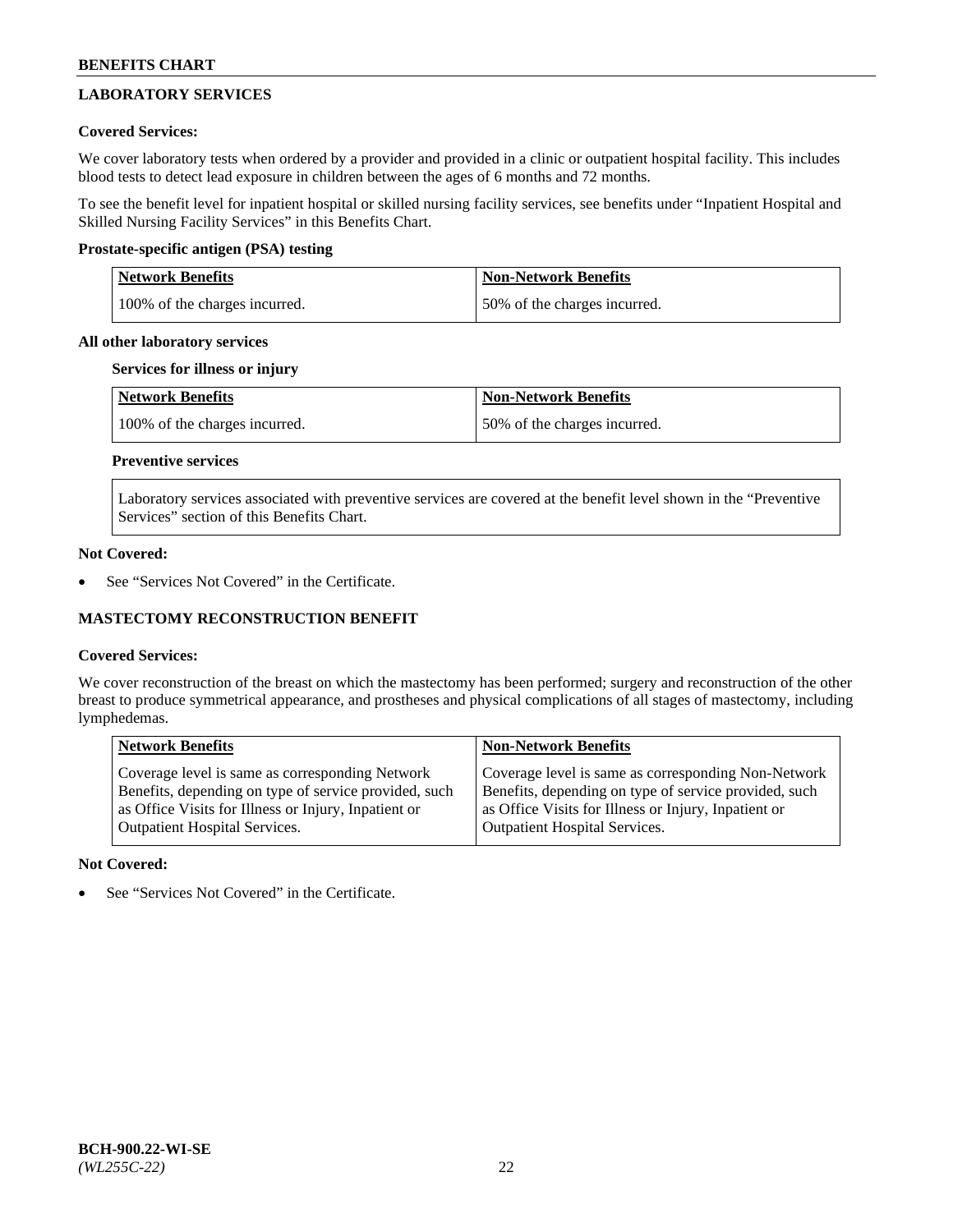# **LABORATORY SERVICES**

## **Covered Services:**

We cover laboratory tests when ordered by a provider and provided in a clinic or outpatient hospital facility. This includes blood tests to detect lead exposure in children between the ages of 6 months and 72 months.

To see the benefit level for inpatient hospital or skilled nursing facility services, see benefits under "Inpatient Hospital and Skilled Nursing Facility Services" in this Benefits Chart.

## **Prostate-specific antigen (PSA) testing**

| <b>Network Benefits</b>       | <b>Non-Network Benefits</b>  |
|-------------------------------|------------------------------|
| 100% of the charges incurred. | 50% of the charges incurred. |

## **All other laboratory services**

## **Services for illness or injury**

| Network Benefits              | <b>Non-Network Benefits</b>  |
|-------------------------------|------------------------------|
| 100% of the charges incurred. | 50% of the charges incurred. |

# **Preventive services**

Laboratory services associated with preventive services are covered at the benefit level shown in the "Preventive Services" section of this Benefits Chart.

### **Not Covered:**

See "Services Not Covered" in the Certificate.

## **MASTECTOMY RECONSTRUCTION BENEFIT**

## **Covered Services:**

We cover reconstruction of the breast on which the mastectomy has been performed; surgery and reconstruction of the other breast to produce symmetrical appearance, and prostheses and physical complications of all stages of mastectomy, including lymphedemas.

| <b>Network Benefits</b>                               | <b>Non-Network Benefits</b>                           |
|-------------------------------------------------------|-------------------------------------------------------|
| Coverage level is same as corresponding Network       | Coverage level is same as corresponding Non-Network   |
| Benefits, depending on type of service provided, such | Benefits, depending on type of service provided, such |
| as Office Visits for Illness or Injury, Inpatient or  | as Office Visits for Illness or Injury, Inpatient or  |
| <b>Outpatient Hospital Services.</b>                  | <b>Outpatient Hospital Services.</b>                  |

## **Not Covered:**

See "Services Not Covered" in the Certificate.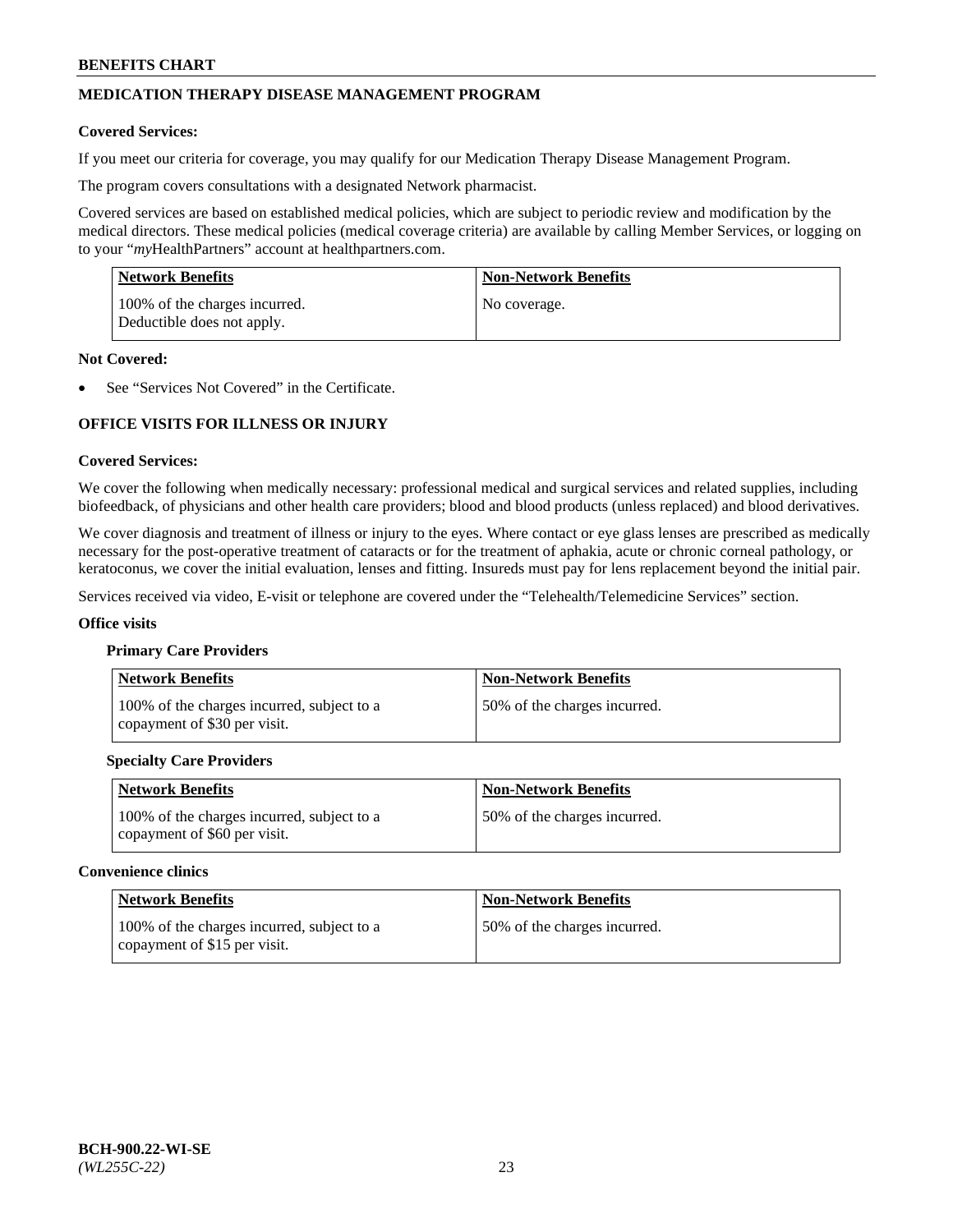# **MEDICATION THERAPY DISEASE MANAGEMENT PROGRAM**

### **Covered Services:**

If you meet our criteria for coverage, you may qualify for our Medication Therapy Disease Management Program.

The program covers consultations with a designated Network pharmacist.

Covered services are based on established medical policies, which are subject to periodic review and modification by the medical directors. These medical policies (medical coverage criteria) are available by calling Member Services, or logging on to your "*my*HealthPartners" account at [healthpartners.com.](http://www.healthpartners.com/)

| Network Benefits                                            | <b>Non-Network Benefits</b> |
|-------------------------------------------------------------|-----------------------------|
| 100% of the charges incurred.<br>Deductible does not apply. | No coverage.                |

### **Not Covered:**

See "Services Not Covered" in the Certificate.

# **OFFICE VISITS FOR ILLNESS OR INJURY**

#### **Covered Services:**

We cover the following when medically necessary: professional medical and surgical services and related supplies, including biofeedback, of physicians and other health care providers; blood and blood products (unless replaced) and blood derivatives.

We cover diagnosis and treatment of illness or injury to the eyes. Where contact or eye glass lenses are prescribed as medically necessary for the post-operative treatment of cataracts or for the treatment of aphakia, acute or chronic corneal pathology, or keratoconus, we cover the initial evaluation, lenses and fitting. Insureds must pay for lens replacement beyond the initial pair.

Services received via video, E-visit or telephone are covered under the "Telehealth/Telemedicine Services" section.

#### **Office visits**

#### **Primary Care Providers**

| <b>Network Benefits</b>                                                    | <b>Non-Network Benefits</b>  |
|----------------------------------------------------------------------------|------------------------------|
| 100% of the charges incurred, subject to a<br>copayment of \$30 per visit. | 50% of the charges incurred. |

## **Specialty Care Providers**

| <b>Network Benefits</b>                                                    | <b>Non-Network Benefits</b>  |
|----------------------------------------------------------------------------|------------------------------|
| 100% of the charges incurred, subject to a<br>copayment of \$60 per visit. | 50% of the charges incurred. |

#### **Convenience clinics**

| <b>Network Benefits</b>                                                    | <b>Non-Network Benefits</b>  |
|----------------------------------------------------------------------------|------------------------------|
| 100% of the charges incurred, subject to a<br>copayment of \$15 per visit. | 50% of the charges incurred. |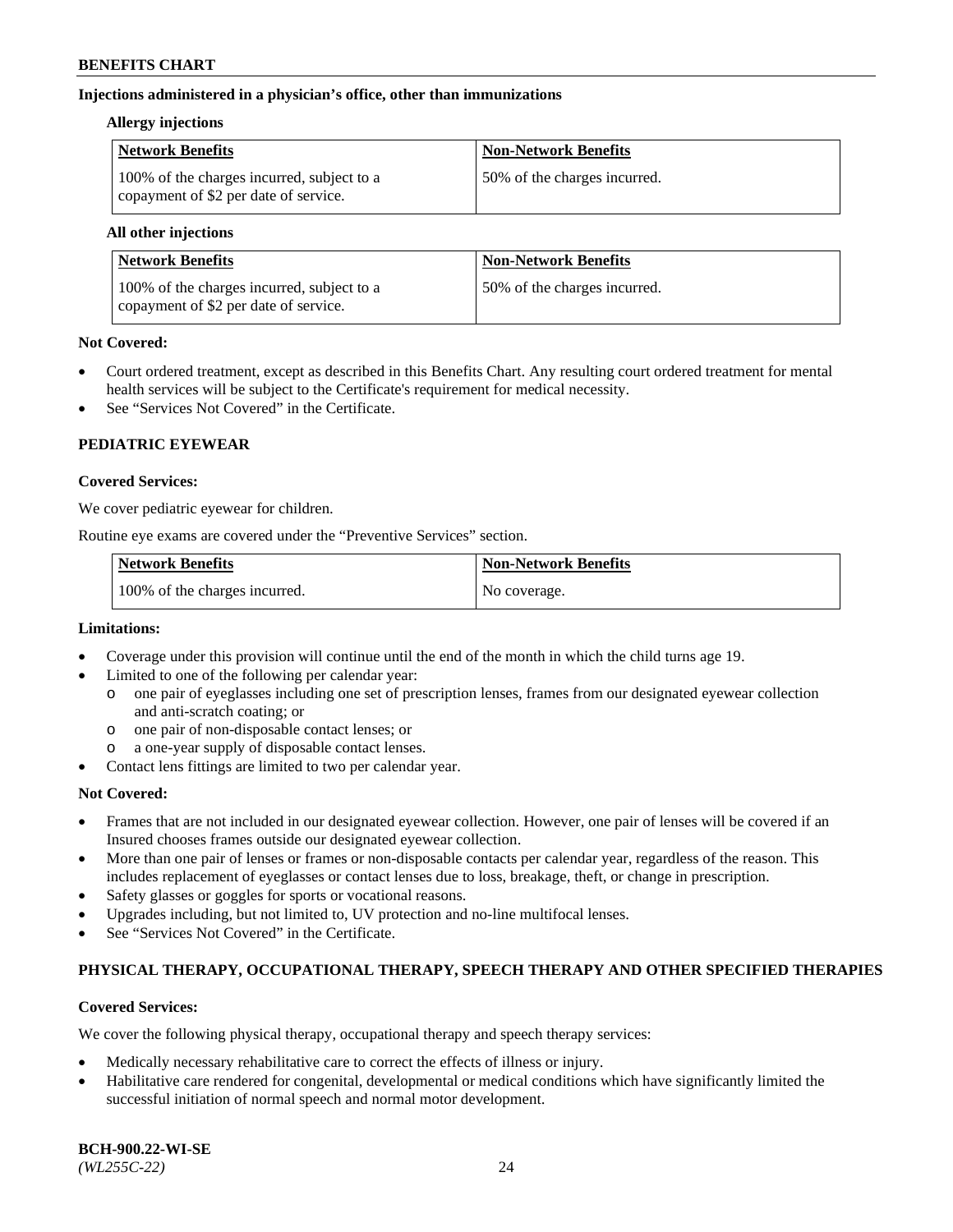## **Injections administered in a physician's office, other than immunizations**

## **Allergy injections**

| <b>Network Benefits</b>                                                             | <b>Non-Network Benefits</b>  |
|-------------------------------------------------------------------------------------|------------------------------|
| 100% of the charges incurred, subject to a<br>copayment of \$2 per date of service. | 50% of the charges incurred. |

#### **All other injections**

| Network Benefits                                                                    | <b>Non-Network Benefits</b>  |
|-------------------------------------------------------------------------------------|------------------------------|
| 100% of the charges incurred, subject to a<br>copayment of \$2 per date of service. | 50% of the charges incurred. |

## **Not Covered:**

- Court ordered treatment, except as described in this Benefits Chart. Any resulting court ordered treatment for mental health services will be subject to the Certificate's requirement for medical necessity.
- See "Services Not Covered" in the Certificate.

# **PEDIATRIC EYEWEAR**

### **Covered Services:**

We cover pediatric eyewear for children.

Routine eye exams are covered under the "Preventive Services" section.

| <b>Network Benefits</b>       | <b>Non-Network Benefits</b> |
|-------------------------------|-----------------------------|
| 100% of the charges incurred. | No coverage.                |

## **Limitations:**

- Coverage under this provision will continue until the end of the month in which the child turns age 19.
- Limited to one of the following per calendar year:
	- o one pair of eyeglasses including one set of prescription lenses, frames from our designated eyewear collection and anti-scratch coating; or
	- o one pair of non-disposable contact lenses; or
	- o a one-year supply of disposable contact lenses.
- Contact lens fittings are limited to two per calendar year.

## **Not Covered:**

- Frames that are not included in our designated eyewear collection. However, one pair of lenses will be covered if an Insured chooses frames outside our designated eyewear collection.
- More than one pair of lenses or frames or non-disposable contacts per calendar year, regardless of the reason. This includes replacement of eyeglasses or contact lenses due to loss, breakage, theft, or change in prescription.
- Safety glasses or goggles for sports or vocational reasons.
- Upgrades including, but not limited to, UV protection and no-line multifocal lenses.
- See "Services Not Covered" in the Certificate.

## **PHYSICAL THERAPY, OCCUPATIONAL THERAPY, SPEECH THERAPY AND OTHER SPECIFIED THERAPIES**

## **Covered Services:**

We cover the following physical therapy, occupational therapy and speech therapy services:

- Medically necessary rehabilitative care to correct the effects of illness or injury.
- Habilitative care rendered for congenital, developmental or medical conditions which have significantly limited the successful initiation of normal speech and normal motor development.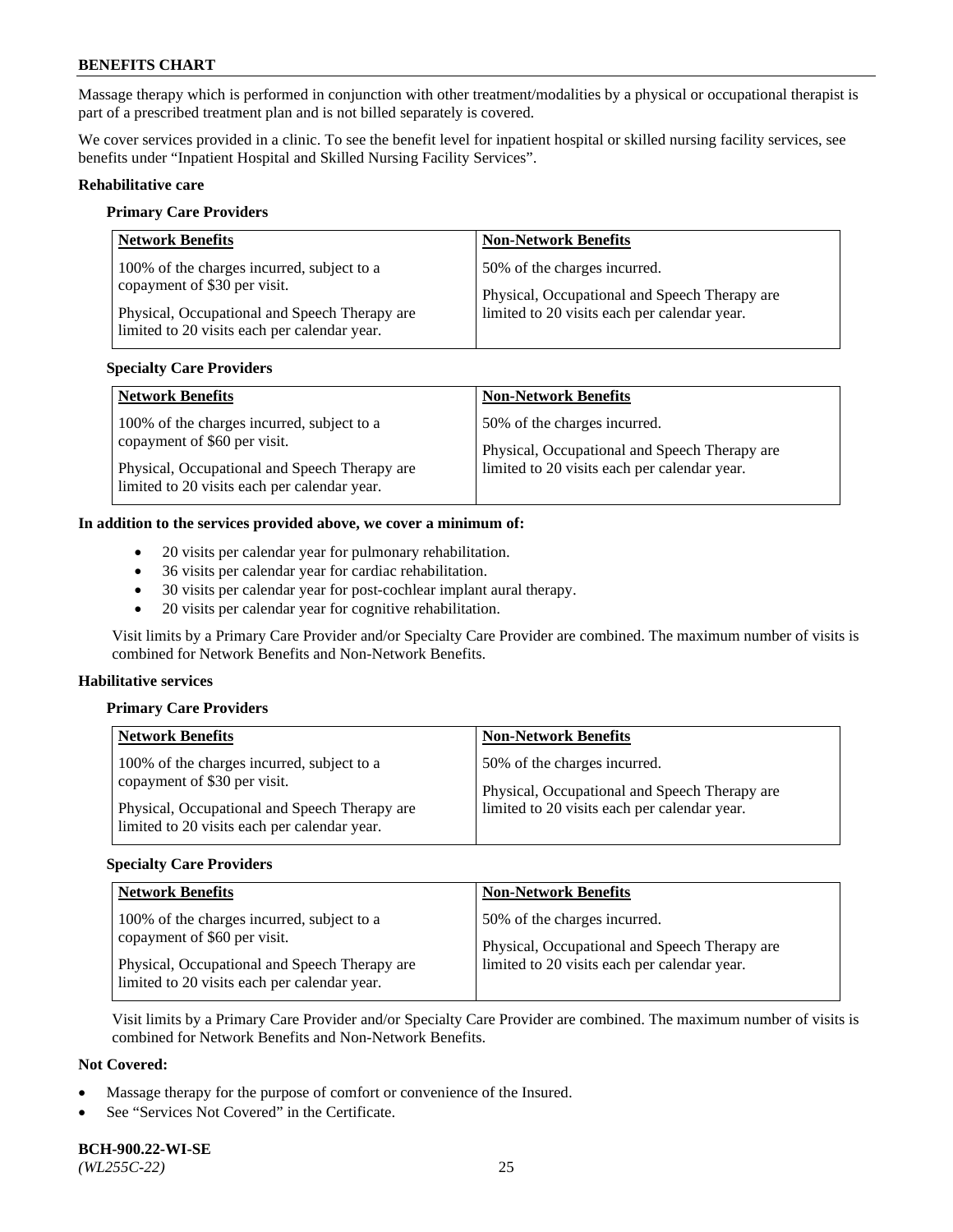Massage therapy which is performed in conjunction with other treatment/modalities by a physical or occupational therapist is part of a prescribed treatment plan and is not billed separately is covered.

We cover services provided in a clinic. To see the benefit level for inpatient hospital or skilled nursing facility services, see benefits under "Inpatient Hospital and Skilled Nursing Facility Services".

### **Rehabilitative care**

#### **Primary Care Providers**

| <b>Network Benefits</b>                                                                                                                                                     | <b>Non-Network Benefits</b>                                                                                                   |
|-----------------------------------------------------------------------------------------------------------------------------------------------------------------------------|-------------------------------------------------------------------------------------------------------------------------------|
| 100% of the charges incurred, subject to a<br>copayment of \$30 per visit.<br>Physical, Occupational and Speech Therapy are<br>limited to 20 visits each per calendar year. | 50% of the charges incurred.<br>Physical, Occupational and Speech Therapy are<br>limited to 20 visits each per calendar year. |

## **Specialty Care Providers**

| <b>Network Benefits</b>                       | <b>Non-Network Benefits</b>                   |
|-----------------------------------------------|-----------------------------------------------|
| 100% of the charges incurred, subject to a    | 50% of the charges incurred.                  |
| copayment of \$60 per visit.                  | Physical, Occupational and Speech Therapy are |
| Physical, Occupational and Speech Therapy are | limited to 20 visits each per calendar year.  |
| limited to 20 visits each per calendar year.  |                                               |

#### **In addition to the services provided above, we cover a minimum of:**

- 20 visits per calendar year for pulmonary rehabilitation.
- 36 visits per calendar year for cardiac rehabilitation.
- 30 visits per calendar year for post-cochlear implant aural therapy.
- 20 visits per calendar year for cognitive rehabilitation.

Visit limits by a Primary Care Provider and/or Specialty Care Provider are combined. The maximum number of visits is combined for Network Benefits and Non-Network Benefits.

#### **Habilitative services**

#### **Primary Care Providers**

| <b>Network Benefits</b>                                                                       | <b>Non-Network Benefits</b>                   |
|-----------------------------------------------------------------------------------------------|-----------------------------------------------|
| 100% of the charges incurred, subject to a                                                    | 50% of the charges incurred.                  |
| copayment of \$30 per visit.                                                                  | Physical, Occupational and Speech Therapy are |
| Physical, Occupational and Speech Therapy are<br>limited to 20 visits each per calendar year. | limited to 20 visits each per calendar year.  |

## **Specialty Care Providers**

| <b>Network Benefits</b>                                                    | <b>Non-Network Benefits</b>                                                                   |
|----------------------------------------------------------------------------|-----------------------------------------------------------------------------------------------|
| 100% of the charges incurred, subject to a<br>copayment of \$60 per visit. | 50% of the charges incurred.                                                                  |
| Physical, Occupational and Speech Therapy are                              | Physical, Occupational and Speech Therapy are<br>limited to 20 visits each per calendar year. |
| limited to 20 visits each per calendar year.                               |                                                                                               |

Visit limits by a Primary Care Provider and/or Specialty Care Provider are combined. The maximum number of visits is combined for Network Benefits and Non-Network Benefits.

# **Not Covered:**

- Massage therapy for the purpose of comfort or convenience of the Insured.
- See "Services Not Covered" in the Certificate.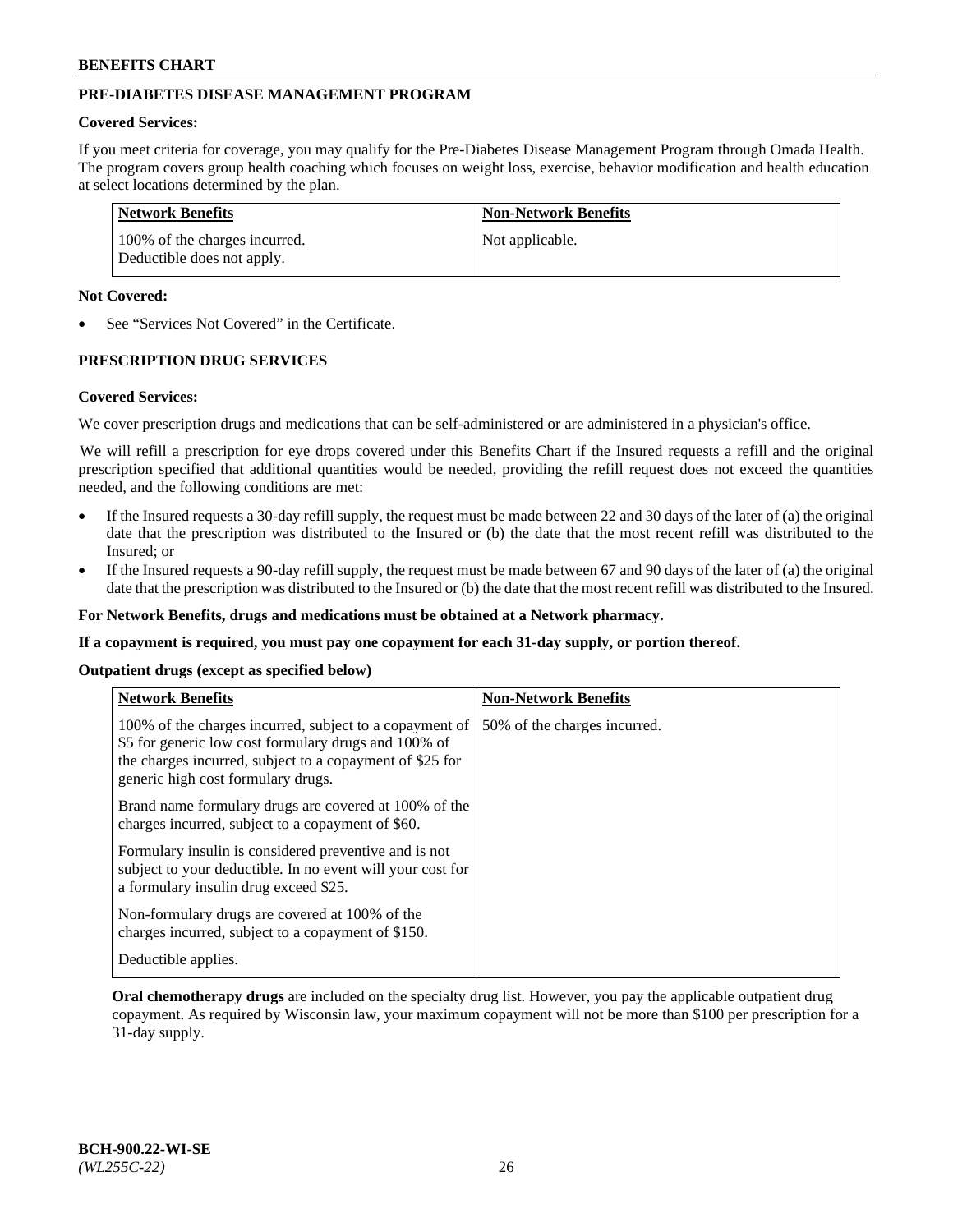# **PRE-DIABETES DISEASE MANAGEMENT PROGRAM**

### **Covered Services:**

If you meet criteria for coverage, you may qualify for the Pre-Diabetes Disease Management Program through Omada Health. The program covers group health coaching which focuses on weight loss, exercise, behavior modification and health education at select locations determined by the plan.

| Network Benefits                                            | <b>Non-Network Benefits</b> |
|-------------------------------------------------------------|-----------------------------|
| 100% of the charges incurred.<br>Deductible does not apply. | Not applicable.             |

## **Not Covered:**

See "Services Not Covered" in the Certificate.

## **PRESCRIPTION DRUG SERVICES**

#### **Covered Services:**

We cover prescription drugs and medications that can be self-administered or are administered in a physician's office.

We will refill a prescription for eye drops covered under this Benefits Chart if the Insured requests a refill and the original prescription specified that additional quantities would be needed, providing the refill request does not exceed the quantities needed, and the following conditions are met:

- If the Insured requests a 30-day refill supply, the request must be made between 22 and 30 days of the later of (a) the original date that the prescription was distributed to the Insured or (b) the date that the most recent refill was distributed to the Insured; or
- If the Insured requests a 90-day refill supply, the request must be made between 67 and 90 days of the later of (a) the original date that the prescription was distributed to the Insured or (b) the date that the most recent refill was distributed to the Insured.

**For Network Benefits, drugs and medications must be obtained at a Network pharmacy.**

**If a copayment is required, you must pay one copayment for each 31-day supply, or portion thereof.**

**Outpatient drugs (except as specified below)**

| <b>Network Benefits</b>                                                                                                                                                                                           | <b>Non-Network Benefits</b>  |
|-------------------------------------------------------------------------------------------------------------------------------------------------------------------------------------------------------------------|------------------------------|
| 100% of the charges incurred, subject to a copayment of<br>\$5 for generic low cost formulary drugs and 100% of<br>the charges incurred, subject to a copayment of \$25 for<br>generic high cost formulary drugs. | 50% of the charges incurred. |
| Brand name formulary drugs are covered at 100% of the<br>charges incurred, subject to a copayment of \$60.                                                                                                        |                              |
| Formulary insulin is considered preventive and is not<br>subject to your deductible. In no event will your cost for<br>a formulary insulin drug exceed \$25.                                                      |                              |
| Non-formulary drugs are covered at 100% of the<br>charges incurred, subject to a copayment of \$150.                                                                                                              |                              |
| Deductible applies.                                                                                                                                                                                               |                              |

**Oral chemotherapy drugs** are included on the specialty drug list. However, you pay the applicable outpatient drug copayment. As required by Wisconsin law, your maximum copayment will not be more than \$100 per prescription for a 31-day supply.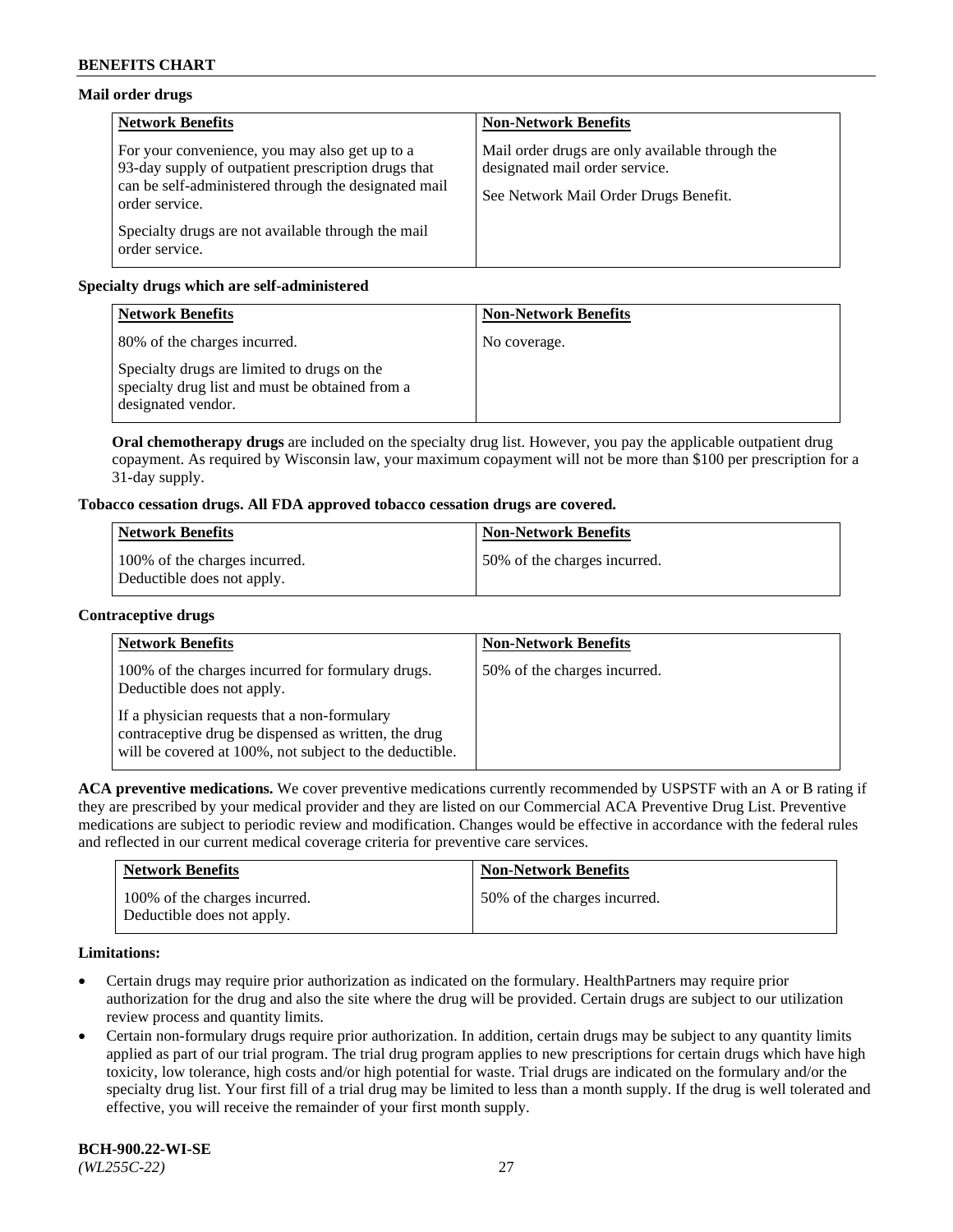# **Mail order drugs**

| <b>Network Benefits</b>                                                                                                                                                         | <b>Non-Network Benefits</b>                                                                                                |
|---------------------------------------------------------------------------------------------------------------------------------------------------------------------------------|----------------------------------------------------------------------------------------------------------------------------|
| For your convenience, you may also get up to a<br>93-day supply of outpatient prescription drugs that<br>can be self-administered through the designated mail<br>order service. | Mail order drugs are only available through the<br>designated mail order service.<br>See Network Mail Order Drugs Benefit. |
| Specialty drugs are not available through the mail<br>order service.                                                                                                            |                                                                                                                            |

# **Specialty drugs which are self-administered**

| <b>Network Benefits</b>                                                                                              | <b>Non-Network Benefits</b> |
|----------------------------------------------------------------------------------------------------------------------|-----------------------------|
| 80% of the charges incurred.                                                                                         | No coverage.                |
| Specialty drugs are limited to drugs on the<br>specialty drug list and must be obtained from a<br>designated vendor. |                             |

**Oral chemotherapy drugs** are included on the specialty drug list. However, you pay the applicable outpatient drug copayment. As required by Wisconsin law, your maximum copayment will not be more than \$100 per prescription for a 31-day supply.

# **Tobacco cessation drugs. All FDA approved tobacco cessation drugs are covered.**

| <b>Network Benefits</b>                                     | <b>Non-Network Benefits</b>  |
|-------------------------------------------------------------|------------------------------|
| 100% of the charges incurred.<br>Deductible does not apply. | 50% of the charges incurred. |

## **Contraceptive drugs**

| <b>Network Benefits</b>                                                                                                                                         | <b>Non-Network Benefits</b>  |
|-----------------------------------------------------------------------------------------------------------------------------------------------------------------|------------------------------|
| 100% of the charges incurred for formulary drugs.<br>Deductible does not apply.                                                                                 | 50% of the charges incurred. |
| If a physician requests that a non-formulary<br>contraceptive drug be dispensed as written, the drug<br>will be covered at 100%, not subject to the deductible. |                              |

**ACA preventive medications.** We cover preventive medications currently recommended by USPSTF with an A or B rating if they are prescribed by your medical provider and they are listed on our Commercial ACA Preventive Drug List. Preventive medications are subject to periodic review and modification. Changes would be effective in accordance with the federal rules and reflected in our current medical coverage criteria for preventive care services.

| <b>Network Benefits</b>                                     | <b>Non-Network Benefits</b>  |
|-------------------------------------------------------------|------------------------------|
| 100% of the charges incurred.<br>Deductible does not apply. | 50% of the charges incurred. |

## **Limitations:**

- Certain drugs may require prior authorization as indicated on the formulary. HealthPartners may require prior authorization for the drug and also the site where the drug will be provided. Certain drugs are subject to our utilization review process and quantity limits.
- Certain non-formulary drugs require prior authorization. In addition, certain drugs may be subject to any quantity limits applied as part of our trial program. The trial drug program applies to new prescriptions for certain drugs which have high toxicity, low tolerance, high costs and/or high potential for waste. Trial drugs are indicated on the formulary and/or the specialty drug list. Your first fill of a trial drug may be limited to less than a month supply. If the drug is well tolerated and effective, you will receive the remainder of your first month supply.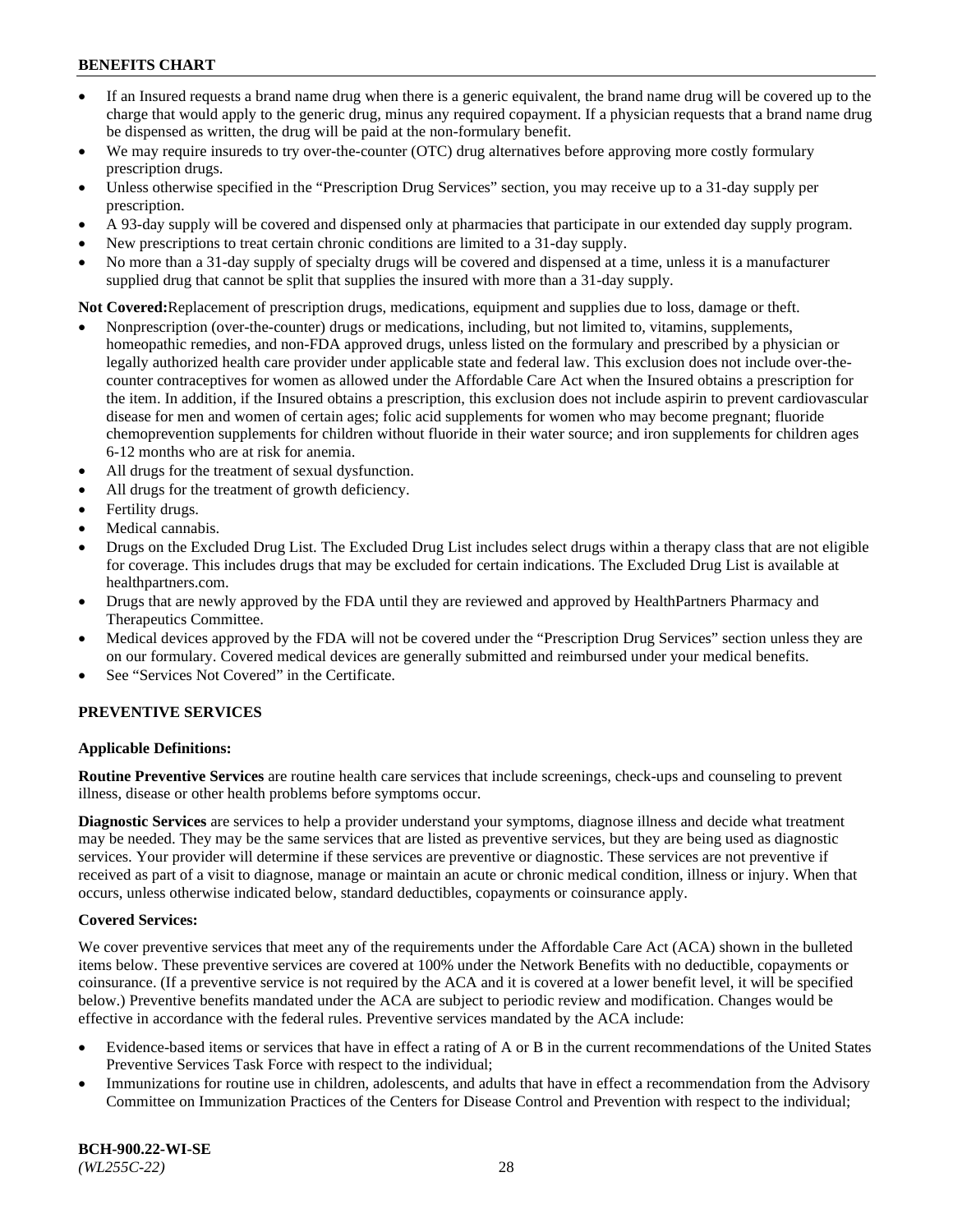- If an Insured requests a brand name drug when there is a generic equivalent, the brand name drug will be covered up to the charge that would apply to the generic drug, minus any required copayment. If a physician requests that a brand name drug be dispensed as written, the drug will be paid at the non-formulary benefit.
- We may require insureds to try over-the-counter (OTC) drug alternatives before approving more costly formulary prescription drugs.
- Unless otherwise specified in the "Prescription Drug Services" section, you may receive up to a 31-day supply per prescription.
- A 93-day supply will be covered and dispensed only at pharmacies that participate in our extended day supply program.
- New prescriptions to treat certain chronic conditions are limited to a 31-day supply.
- No more than a 31-day supply of specialty drugs will be covered and dispensed at a time, unless it is a manufacturer supplied drug that cannot be split that supplies the insured with more than a 31-day supply.

**Not Covered:**Replacement of prescription drugs, medications, equipment and supplies due to loss, damage or theft.

- Nonprescription (over-the-counter) drugs or medications, including, but not limited to, vitamins, supplements, homeopathic remedies, and non-FDA approved drugs, unless listed on the formulary and prescribed by a physician or legally authorized health care provider under applicable state and federal law. This exclusion does not include over-thecounter contraceptives for women as allowed under the Affordable Care Act when the Insured obtains a prescription for the item. In addition, if the Insured obtains a prescription, this exclusion does not include aspirin to prevent cardiovascular disease for men and women of certain ages; folic acid supplements for women who may become pregnant; fluoride chemoprevention supplements for children without fluoride in their water source; and iron supplements for children ages 6-12 months who are at risk for anemia.
- All drugs for the treatment of sexual dysfunction.
- All drugs for the treatment of growth deficiency.
- Fertility drugs.
- Medical cannabis.
- Drugs on the Excluded Drug List. The Excluded Drug List includes select drugs within a therapy class that are not eligible for coverage. This includes drugs that may be excluded for certain indications. The Excluded Drug List is available at [healthpartners.com.](http://www.healthpartners.com/)
- Drugs that are newly approved by the FDA until they are reviewed and approved by HealthPartners Pharmacy and Therapeutics Committee.
- Medical devices approved by the FDA will not be covered under the "Prescription Drug Services" section unless they are on our formulary. Covered medical devices are generally submitted and reimbursed under your medical benefits.
- See "Services Not Covered" in the Certificate.

## **PREVENTIVE SERVICES**

## **Applicable Definitions:**

**Routine Preventive Services** are routine health care services that include screenings, check-ups and counseling to prevent illness, disease or other health problems before symptoms occur.

**Diagnostic Services** are services to help a provider understand your symptoms, diagnose illness and decide what treatment may be needed. They may be the same services that are listed as preventive services, but they are being used as diagnostic services. Your provider will determine if these services are preventive or diagnostic. These services are not preventive if received as part of a visit to diagnose, manage or maintain an acute or chronic medical condition, illness or injury. When that occurs, unless otherwise indicated below, standard deductibles, copayments or coinsurance apply.

#### **Covered Services:**

We cover preventive services that meet any of the requirements under the Affordable Care Act (ACA) shown in the bulleted items below. These preventive services are covered at 100% under the Network Benefits with no deductible, copayments or coinsurance. (If a preventive service is not required by the ACA and it is covered at a lower benefit level, it will be specified below.) Preventive benefits mandated under the ACA are subject to periodic review and modification. Changes would be effective in accordance with the federal rules. Preventive services mandated by the ACA include:

- Evidence-based items or services that have in effect a rating of A or B in the current recommendations of the United States Preventive Services Task Force with respect to the individual;
- Immunizations for routine use in children, adolescents, and adults that have in effect a recommendation from the Advisory Committee on Immunization Practices of the Centers for Disease Control and Prevention with respect to the individual;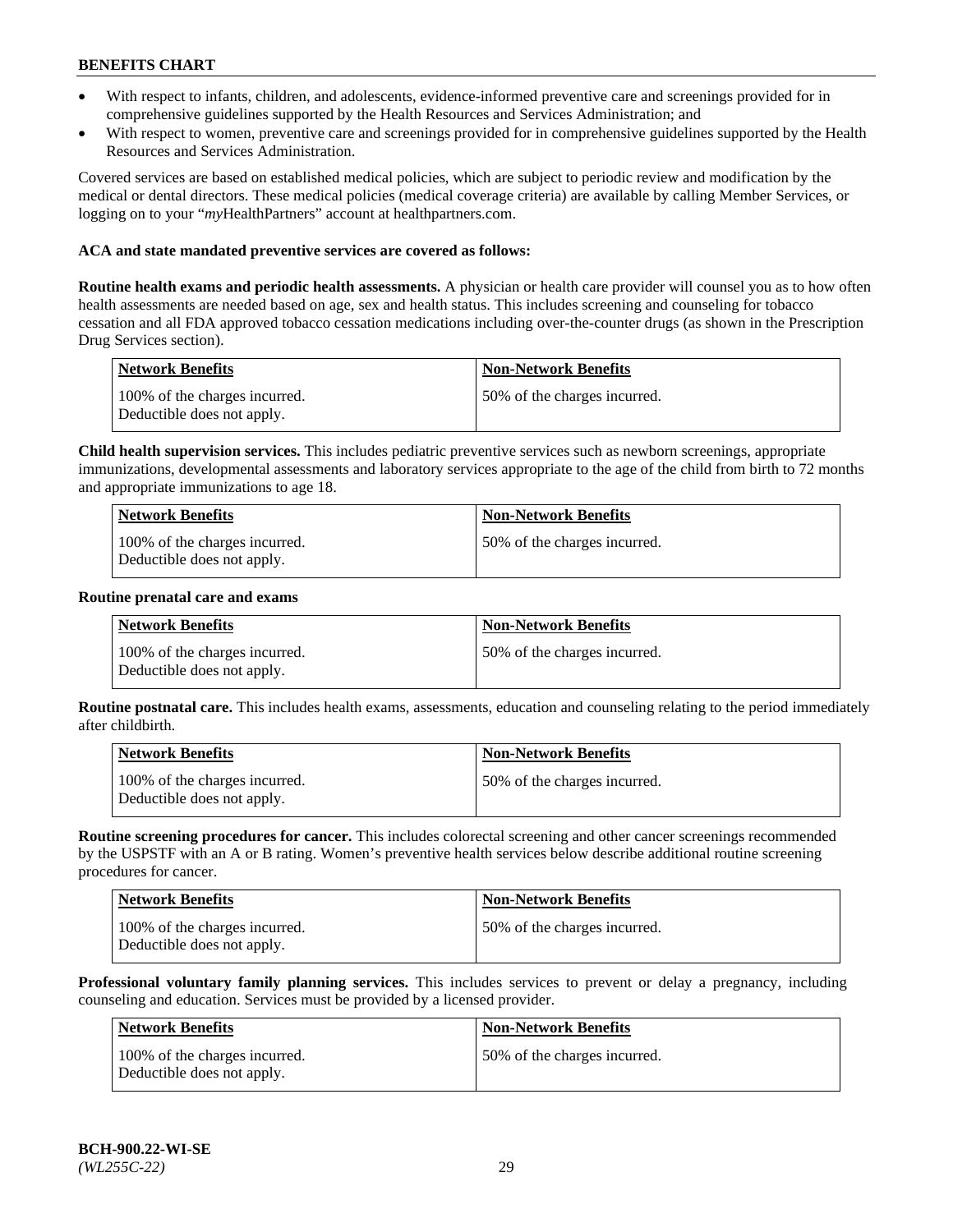- With respect to infants, children, and adolescents, evidence-informed preventive care and screenings provided for in comprehensive guidelines supported by the Health Resources and Services Administration; and
- With respect to women, preventive care and screenings provided for in comprehensive guidelines supported by the Health Resources and Services Administration.

Covered services are based on established medical policies, which are subject to periodic review and modification by the medical or dental directors. These medical policies (medical coverage criteria) are available by calling Member Services, or logging on to your "*my*HealthPartners" account at [healthpartners.com.](https://www.healthpartners.com/hp/index.html)

## **ACA and state mandated preventive services are covered as follows:**

**Routine health exams and periodic health assessments.** A physician or health care provider will counsel you as to how often health assessments are needed based on age, sex and health status. This includes screening and counseling for tobacco cessation and all FDA approved tobacco cessation medications including over-the-counter drugs (as shown in the Prescription Drug Services section).

| <b>Network Benefits</b>                                     | <b>Non-Network Benefits</b>  |
|-------------------------------------------------------------|------------------------------|
| 100% of the charges incurred.<br>Deductible does not apply. | 50% of the charges incurred. |

**Child health supervision services.** This includes pediatric preventive services such as newborn screenings, appropriate immunizations, developmental assessments and laboratory services appropriate to the age of the child from birth to 72 months and appropriate immunizations to age 18.

| <b>Network Benefits</b>                                     | <b>Non-Network Benefits</b>  |
|-------------------------------------------------------------|------------------------------|
| 100% of the charges incurred.<br>Deductible does not apply. | 50% of the charges incurred. |

#### **Routine prenatal care and exams**

| Network Benefits                                            | Non-Network Benefits         |
|-------------------------------------------------------------|------------------------------|
| 100% of the charges incurred.<br>Deductible does not apply. | 50% of the charges incurred. |

**Routine postnatal care.** This includes health exams, assessments, education and counseling relating to the period immediately after childbirth.

| Network Benefits                                            | <b>Non-Network Benefits</b>  |
|-------------------------------------------------------------|------------------------------|
| 100% of the charges incurred.<br>Deductible does not apply. | 50% of the charges incurred. |

**Routine screening procedures for cancer.** This includes colorectal screening and other cancer screenings recommended by the USPSTF with an A or B rating. Women's preventive health services below describe additional routine screening procedures for cancer.

| <b>Network Benefits</b>                                     | <b>Non-Network Benefits</b>  |
|-------------------------------------------------------------|------------------------------|
| 100% of the charges incurred.<br>Deductible does not apply. | 50% of the charges incurred. |

**Professional voluntary family planning services.** This includes services to prevent or delay a pregnancy, including counseling and education. Services must be provided by a licensed provider.

| <b>Network Benefits</b>                                     | <b>Non-Network Benefits</b>  |
|-------------------------------------------------------------|------------------------------|
| 100% of the charges incurred.<br>Deductible does not apply. | 50% of the charges incurred. |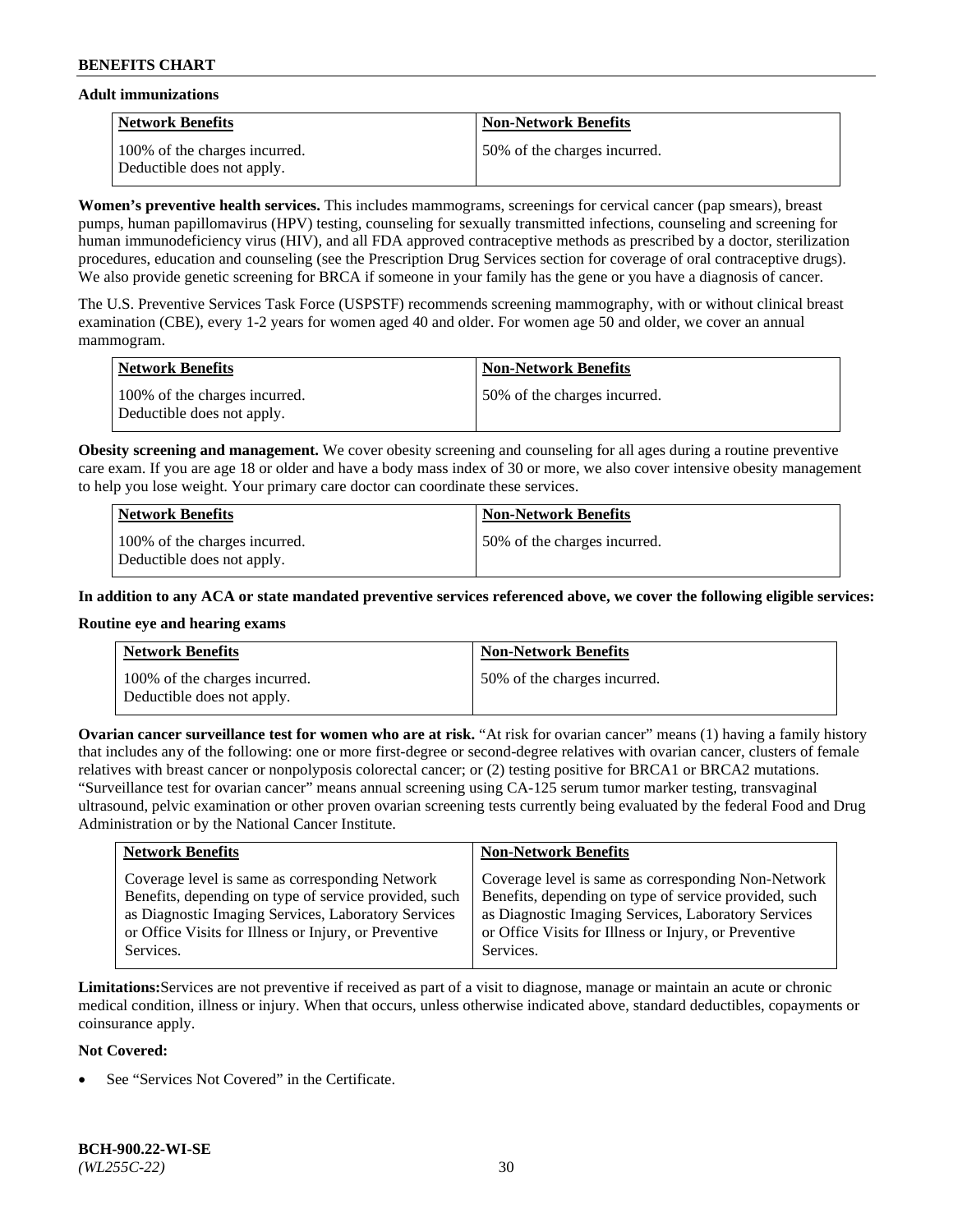### **Adult immunizations**

| <b>Network Benefits</b>                                     | <b>Non-Network Benefits</b>  |
|-------------------------------------------------------------|------------------------------|
| 100% of the charges incurred.<br>Deductible does not apply. | 50% of the charges incurred. |

**Women's preventive health services.** This includes mammograms, screenings for cervical cancer (pap smears), breast pumps, human papillomavirus (HPV) testing, counseling for sexually transmitted infections, counseling and screening for human immunodeficiency virus (HIV), and all FDA approved contraceptive methods as prescribed by a doctor, sterilization procedures, education and counseling (see the Prescription Drug Services section for coverage of oral contraceptive drugs). We also provide genetic screening for BRCA if someone in your family has the gene or you have a diagnosis of cancer.

The U.S. Preventive Services Task Force (USPSTF) recommends screening mammography, with or without clinical breast examination (CBE), every 1-2 years for women aged 40 and older. For women age 50 and older, we cover an annual mammogram.

| <b>Network Benefits</b>                                     | <b>Non-Network Benefits</b>  |
|-------------------------------------------------------------|------------------------------|
| 100% of the charges incurred.<br>Deductible does not apply. | 50% of the charges incurred. |

**Obesity screening and management.** We cover obesity screening and counseling for all ages during a routine preventive care exam. If you are age 18 or older and have a body mass index of 30 or more, we also cover intensive obesity management to help you lose weight. Your primary care doctor can coordinate these services.

| <b>Network Benefits</b>                                     | <b>Non-Network Benefits</b>  |
|-------------------------------------------------------------|------------------------------|
| 100% of the charges incurred.<br>Deductible does not apply. | 50% of the charges incurred. |

**In addition to any ACA or state mandated preventive services referenced above, we cover the following eligible services:**

## **Routine eye and hearing exams**

| <b>Network Benefits</b>                                     | <b>Non-Network Benefits</b>  |
|-------------------------------------------------------------|------------------------------|
| 100% of the charges incurred.<br>Deductible does not apply. | 50% of the charges incurred. |

**Ovarian cancer surveillance test for women who are at risk.** "At risk for ovarian cancer" means (1) having a family history that includes any of the following: one or more first-degree or second-degree relatives with ovarian cancer, clusters of female relatives with breast cancer or nonpolyposis colorectal cancer; or (2) testing positive for BRCA1 or BRCA2 mutations. "Surveillance test for ovarian cancer" means annual screening using CA-125 serum tumor marker testing, transvaginal ultrasound, pelvic examination or other proven ovarian screening tests currently being evaluated by the federal Food and Drug Administration or by the National Cancer Institute.

| <b>Network Benefits</b>                               | <b>Non-Network Benefits</b>                           |
|-------------------------------------------------------|-------------------------------------------------------|
| Coverage level is same as corresponding Network       | Coverage level is same as corresponding Non-Network   |
| Benefits, depending on type of service provided, such | Benefits, depending on type of service provided, such |
| as Diagnostic Imaging Services, Laboratory Services   | as Diagnostic Imaging Services, Laboratory Services   |
| or Office Visits for Illness or Injury, or Preventive | or Office Visits for Illness or Injury, or Preventive |
| Services.                                             | Services.                                             |

**Limitations:**Services are not preventive if received as part of a visit to diagnose, manage or maintain an acute or chronic medical condition, illness or injury. When that occurs, unless otherwise indicated above, standard deductibles, copayments or coinsurance apply.

#### **Not Covered:**

See "Services Not Covered" in the Certificate.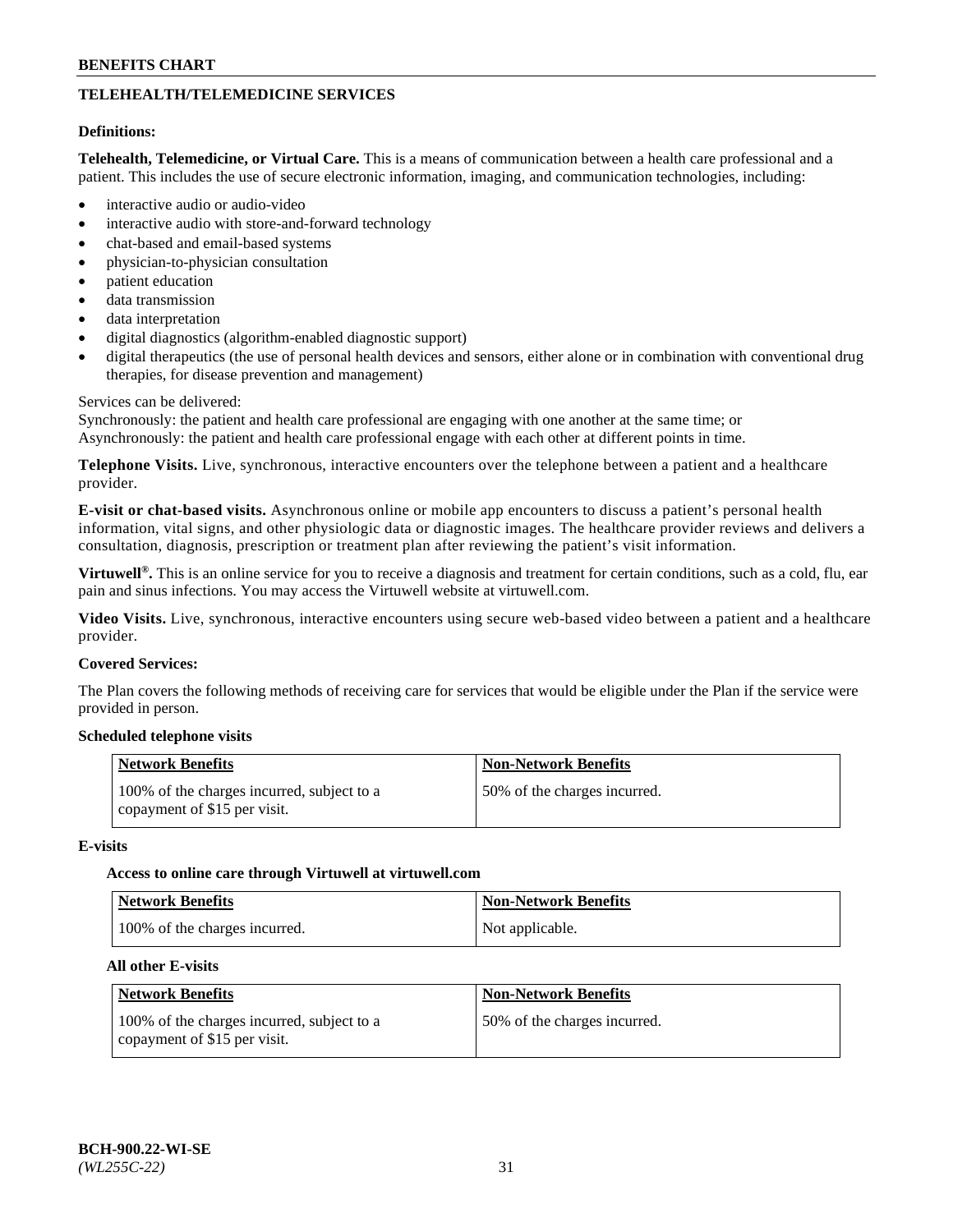# **TELEHEALTH/TELEMEDICINE SERVICES**

### **Definitions:**

**Telehealth, Telemedicine, or Virtual Care.** This is a means of communication between a health care professional and a patient. This includes the use of secure electronic information, imaging, and communication technologies, including:

- interactive audio or audio-video
- interactive audio with store-and-forward technology
- chat-based and email-based systems
- physician-to-physician consultation
- patient education
- data transmission
- data interpretation
- digital diagnostics (algorithm-enabled diagnostic support)
- digital therapeutics (the use of personal health devices and sensors, either alone or in combination with conventional drug therapies, for disease prevention and management)

### Services can be delivered:

Synchronously: the patient and health care professional are engaging with one another at the same time; or Asynchronously: the patient and health care professional engage with each other at different points in time.

**Telephone Visits.** Live, synchronous, interactive encounters over the telephone between a patient and a healthcare provider.

**E-visit or chat-based visits.** Asynchronous online or mobile app encounters to discuss a patient's personal health information, vital signs, and other physiologic data or diagnostic images. The healthcare provider reviews and delivers a consultation, diagnosis, prescription or treatment plan after reviewing the patient's visit information.

**Virtuwell®.** This is an online service for you to receive a diagnosis and treatment for certain conditions, such as a cold, flu, ear pain and sinus infections. You may access the Virtuwell website at [virtuwell.com.](https://www.virtuwell.com/)

**Video Visits.** Live, synchronous, interactive encounters using secure web-based video between a patient and a healthcare provider.

### **Covered Services:**

The Plan covers the following methods of receiving care for services that would be eligible under the Plan if the service were provided in person.

## **Scheduled telephone visits**

| <b>Network Benefits</b>                                                    | <b>Non-Network Benefits</b>  |
|----------------------------------------------------------------------------|------------------------------|
| 100% of the charges incurred, subject to a<br>copayment of \$15 per visit. | 50% of the charges incurred. |

#### **E-visits**

#### **Access to online care through Virtuwell at [virtuwell.com](https://www.virtuwell.com/)**

| <b>Network Benefits</b>       | <b>Non-Network Benefits</b> |
|-------------------------------|-----------------------------|
| 100% of the charges incurred. | Not applicable.             |

#### **All other E-visits**

| <b>Network Benefits</b>                                                    | <b>Non-Network Benefits</b>  |
|----------------------------------------------------------------------------|------------------------------|
| 100% of the charges incurred, subject to a<br>copayment of \$15 per visit. | 50% of the charges incurred. |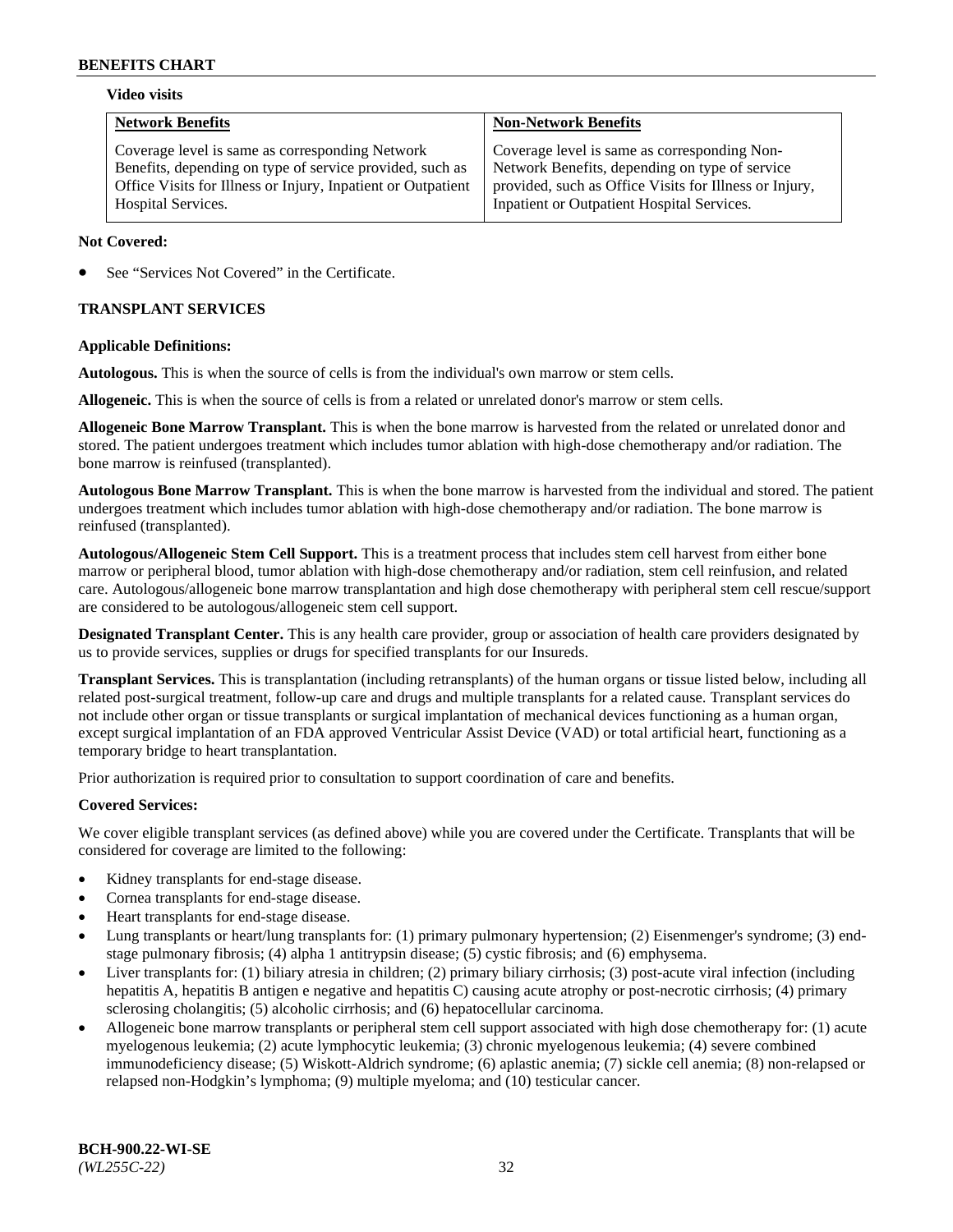## **Video visits**

| <b>Network Benefits</b>                                                                                                                                                                           | <b>Non-Network Benefits</b>                                                                                                                                                                            |
|---------------------------------------------------------------------------------------------------------------------------------------------------------------------------------------------------|--------------------------------------------------------------------------------------------------------------------------------------------------------------------------------------------------------|
| Coverage level is same as corresponding Network<br>Benefits, depending on type of service provided, such as<br>Office Visits for Illness or Injury, Inpatient or Outpatient<br>Hospital Services. | Coverage level is same as corresponding Non-<br>Network Benefits, depending on type of service<br>provided, such as Office Visits for Illness or Injury,<br>Inpatient or Outpatient Hospital Services. |
|                                                                                                                                                                                                   |                                                                                                                                                                                                        |

### **Not Covered:**

See "Services Not Covered" in the Certificate.

## **TRANSPLANT SERVICES**

### **Applicable Definitions:**

**Autologous.** This is when the source of cells is from the individual's own marrow or stem cells.

**Allogeneic.** This is when the source of cells is from a related or unrelated donor's marrow or stem cells.

**Allogeneic Bone Marrow Transplant.** This is when the bone marrow is harvested from the related or unrelated donor and stored. The patient undergoes treatment which includes tumor ablation with high-dose chemotherapy and/or radiation. The bone marrow is reinfused (transplanted).

**Autologous Bone Marrow Transplant.** This is when the bone marrow is harvested from the individual and stored. The patient undergoes treatment which includes tumor ablation with high-dose chemotherapy and/or radiation. The bone marrow is reinfused (transplanted).

**Autologous/Allogeneic Stem Cell Support.** This is a treatment process that includes stem cell harvest from either bone marrow or peripheral blood, tumor ablation with high-dose chemotherapy and/or radiation, stem cell reinfusion, and related care. Autologous/allogeneic bone marrow transplantation and high dose chemotherapy with peripheral stem cell rescue/support are considered to be autologous/allogeneic stem cell support.

**Designated Transplant Center.** This is any health care provider, group or association of health care providers designated by us to provide services, supplies or drugs for specified transplants for our Insureds.

**Transplant Services.** This is transplantation (including retransplants) of the human organs or tissue listed below, including all related post-surgical treatment, follow-up care and drugs and multiple transplants for a related cause. Transplant services do not include other organ or tissue transplants or surgical implantation of mechanical devices functioning as a human organ, except surgical implantation of an FDA approved Ventricular Assist Device (VAD) or total artificial heart, functioning as a temporary bridge to heart transplantation.

Prior authorization is required prior to consultation to support coordination of care and benefits.

# **Covered Services:**

We cover eligible transplant services (as defined above) while you are covered under the Certificate. Transplants that will be considered for coverage are limited to the following:

- Kidney transplants for end-stage disease.
- Cornea transplants for end-stage disease.
- Heart transplants for end-stage disease.
- Lung transplants or heart/lung transplants for: (1) primary pulmonary hypertension; (2) Eisenmenger's syndrome; (3) endstage pulmonary fibrosis; (4) alpha 1 antitrypsin disease; (5) cystic fibrosis; and (6) emphysema.
- Liver transplants for: (1) biliary atresia in children; (2) primary biliary cirrhosis; (3) post-acute viral infection (including hepatitis A, hepatitis B antigen e negative and hepatitis C) causing acute atrophy or post-necrotic cirrhosis; (4) primary sclerosing cholangitis; (5) alcoholic cirrhosis; and (6) hepatocellular carcinoma.
- Allogeneic bone marrow transplants or peripheral stem cell support associated with high dose chemotherapy for: (1) acute myelogenous leukemia; (2) acute lymphocytic leukemia; (3) chronic myelogenous leukemia; (4) severe combined immunodeficiency disease; (5) Wiskott-Aldrich syndrome; (6) aplastic anemia; (7) sickle cell anemia; (8) non-relapsed or relapsed non-Hodgkin's lymphoma; (9) multiple myeloma; and (10) testicular cancer.